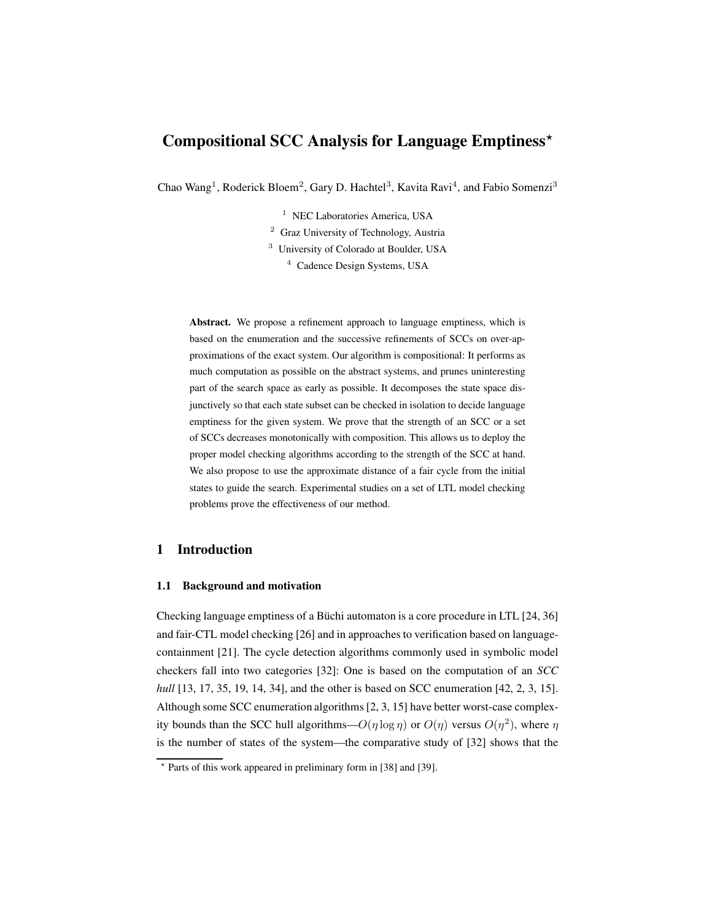# **Compositional SCC Analysis for Language Emptiness**?

Chao Wang<sup>1</sup>, Roderick Bloem<sup>2</sup>, Gary D. Hachtel<sup>3</sup>, Kavita Ravi<sup>4</sup>, and Fabio Somenzi<sup>3</sup>

<sup>1</sup> NEC Laboratories America, USA

<sup>2</sup> Graz University of Technology, Austria

<sup>3</sup> University of Colorado at Boulder, USA

<sup>4</sup> Cadence Design Systems, USA

**Abstract.** We propose a refinement approach to language emptiness, which is based on the enumeration and the successive refinements of SCCs on over-approximations of the exact system. Our algorithm is compositional: It performs as much computation as possible on the abstract systems, and prunes uninteresting part of the search space as early as possible. It decomposes the state space disjunctively so that each state subset can be checked in isolation to decide language emptiness for the given system. We prove that the strength of an SCC or a set of SCCs decreases monotonically with composition. This allows us to deploy the proper model checking algorithms according to the strength of the SCC at hand. We also propose to use the approximate distance of a fair cycle from the initial states to guide the search. Experimental studies on a set of LTL model checking problems prove the effectiveness of our method.

# **1 Introduction**

#### **1.1 Background and motivation**

Checking language emptiness of a Büchi automaton is a core procedure in LTL  $[24, 36]$ and fair-CTL model checking [26] and in approaches to verification based on languagecontainment [21]. The cycle detection algorithms commonly used in symbolic model checkers fall into two categories [32]: One is based on the computation of an *SCC hull* [13, 17, 35, 19, 14, 34], and the other is based on SCC enumeration [42, 2, 3, 15]. Although some SCC enumeration algorithms [2, 3, 15] have better worst-case complexity bounds than the SCC hull algorithms— $O(\eta \log \eta)$  or  $O(\eta)$  versus  $O(\eta^2)$ , where  $\eta$ is the number of states of the system—the comparative study of [32] shows that the

<sup>?</sup> Parts of this work appeared in preliminary form in [38] and [39].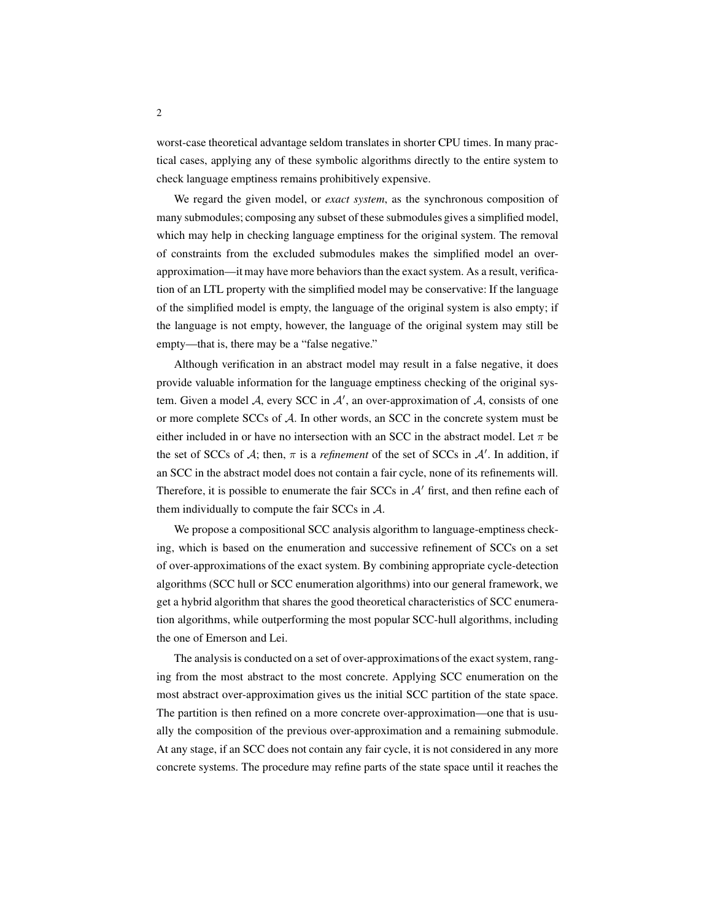worst-case theoretical advantage seldom translates in shorter CPU times. In many practical cases, applying any of these symbolic algorithms directly to the entire system to check language emptiness remains prohibitively expensive.

We regard the given model, or *exact system*, as the synchronous composition of many submodules; composing any subset of these submodules gives a simplified model, which may help in checking language emptiness for the original system. The removal of constraints from the excluded submodules makes the simplified model an overapproximation—it may have more behaviorsthan the exact system. As a result, verification of an LTL property with the simplified model may be conservative: If the language of the simplified model is empty, the language of the original system is also empty; if the language is not empty, however, the language of the original system may still be empty—that is, there may be a "false negative."

Although verification in an abstract model may result in a false negative, it does provide valuable information for the language emptiness checking of the original system. Given a model A, every SCC in  $A'$ , an over-approximation of A, consists of one or more complete SCCs of A. In other words, an SCC in the concrete system must be either included in or have no intersection with an SCC in the abstract model. Let  $\pi$  be the set of SCCs of A; then,  $\pi$  is a *refinement* of the set of SCCs in A'. In addition, if an SCC in the abstract model does not contain a fair cycle, none of its refinements will. Therefore, it is possible to enumerate the fair SCCs in  $A<sup>'</sup>$  first, and then refine each of them individually to compute the fair  $SCCs$  in  $\mathcal{A}$ .

We propose a compositional SCC analysis algorithm to language-emptiness checking, which is based on the enumeration and successive refinement of SCCs on a set of over-approximations of the exact system. By combining appropriate cycle-detection algorithms (SCC hull or SCC enumeration algorithms) into our general framework, we get a hybrid algorithm that shares the good theoretical characteristics of SCC enumeration algorithms, while outperforming the most popular SCC-hull algorithms, including the one of Emerson and Lei.

The analysis is conducted on a set of over-approximations of the exact system, ranging from the most abstract to the most concrete. Applying SCC enumeration on the most abstract over-approximation gives us the initial SCC partition of the state space. The partition is then refined on a more concrete over-approximation—one that is usually the composition of the previous over-approximation and a remaining submodule. At any stage, if an SCC does not contain any fair cycle, it is not considered in any more concrete systems. The procedure may refine parts of the state space until it reaches the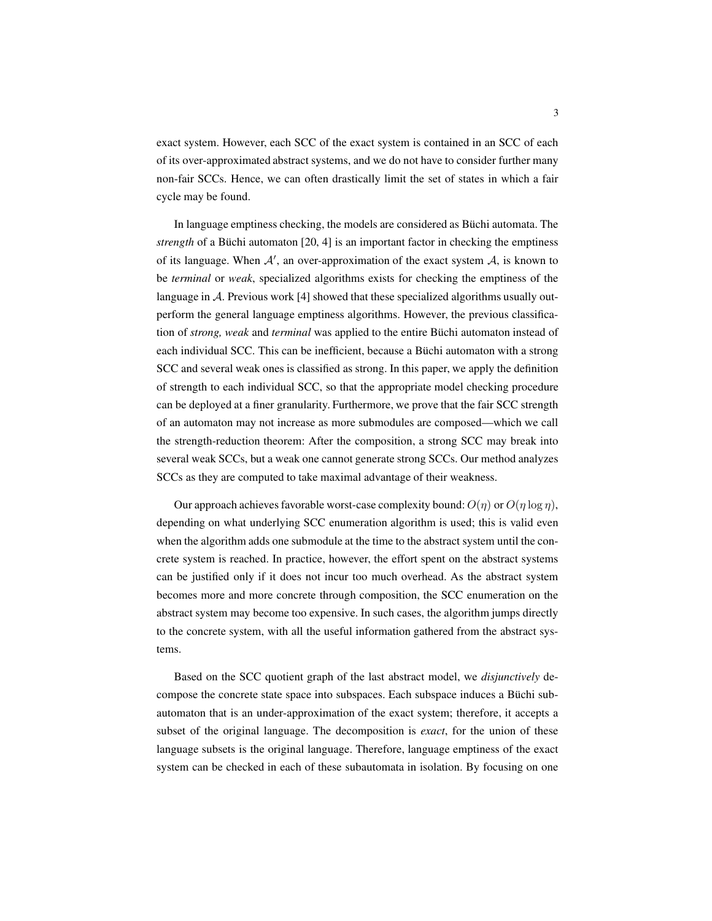exact system. However, each SCC of the exact system is contained in an SCC of each of its over-approximated abstract systems, and we do not have to consider further many non-fair SCCs. Hence, we can often drastically limit the set of states in which a fair cycle may be found.

In language emptiness checking, the models are considered as Büchi automata. The *strength* of a Büchi automaton [20, 4] is an important factor in checking the emptiness of its language. When  $A'$ , an over-approximation of the exact system  $A$ , is known to be *terminal* or *weak*, specialized algorithms exists for checking the emptiness of the language in A. Previous work [4] showed that these specialized algorithms usually outperform the general language emptiness algorithms. However, the previous classification of *strong, weak* and *terminal* was applied to the entire Büchi automaton instead of each individual SCC. This can be inefficient, because a Büchi automaton with a strong SCC and several weak ones is classified as strong. In this paper, we apply the definition of strength to each individual SCC, so that the appropriate model checking procedure can be deployed at a finer granularity. Furthermore, we prove that the fair SCC strength of an automaton may not increase as more submodules are composed—which we call the strength-reduction theorem: After the composition, a strong SCC may break into several weak SCCs, but a weak one cannot generate strong SCCs. Our method analyzes SCCs as they are computed to take maximal advantage of their weakness.

Our approach achieves favorable worst-case complexity bound:  $O(\eta)$  or  $O(\eta \log \eta)$ , depending on what underlying SCC enumeration algorithm is used; this is valid even when the algorithm adds one submodule at the time to the abstract system until the concrete system is reached. In practice, however, the effort spent on the abstract systems can be justified only if it does not incur too much overhead. As the abstract system becomes more and more concrete through composition, the SCC enumeration on the abstract system may become too expensive. In such cases, the algorithm jumps directly to the concrete system, with all the useful information gathered from the abstract systems.

Based on the SCC quotient graph of the last abstract model, we *disjunctively* decompose the concrete state space into subspaces. Each subspace induces a Büchi subautomaton that is an under-approximation of the exact system; therefore, it accepts a subset of the original language. The decomposition is *exact*, for the union of these language subsets is the original language. Therefore, language emptiness of the exact system can be checked in each of these subautomata in isolation. By focusing on one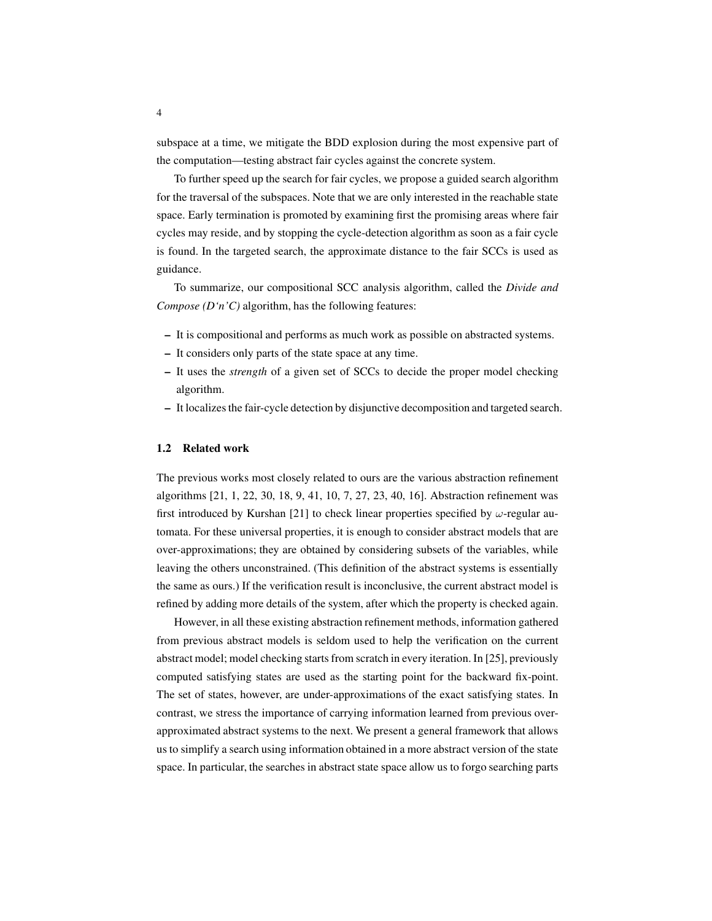subspace at a time, we mitigate the BDD explosion during the most expensive part of the computation—testing abstract fair cycles against the concrete system.

To further speed up the search for fair cycles, we propose a guided search algorithm for the traversal of the subspaces. Note that we are only interested in the reachable state space. Early termination is promoted by examining first the promising areas where fair cycles may reside, and by stopping the cycle-detection algorithm as soon as a fair cycle is found. In the targeted search, the approximate distance to the fair SCCs is used as guidance.

To summarize, our compositional SCC analysis algorithm, called the *Divide and Compose (D'n'C)* algorithm, has the following features:

- **–** It is compositional and performs as much work as possible on abstracted systems.
- **–** It considers only parts of the state space at any time.
- **–** It uses the *strength* of a given set of SCCs to decide the proper model checking algorithm.
- **–** It localizesthe fair-cycle detection by disjunctive decomposition and targeted search.

#### **1.2 Related work**

The previous works most closely related to ours are the various abstraction refinement algorithms [21, 1, 22, 30, 18, 9, 41, 10, 7, 27, 23, 40, 16]. Abstraction refinement was first introduced by Kurshan [21] to check linear properties specified by  $\omega$ -regular automata. For these universal properties, it is enough to consider abstract models that are over-approximations; they are obtained by considering subsets of the variables, while leaving the others unconstrained. (This definition of the abstract systems is essentially the same as ours.) If the verification result is inconclusive, the current abstract model is refined by adding more details of the system, after which the property is checked again.

However, in all these existing abstraction refinement methods, information gathered from previous abstract models is seldom used to help the verification on the current abstract model; model checking starts from scratch in every iteration. In [25], previously computed satisfying states are used as the starting point for the backward fix-point. The set of states, however, are under-approximations of the exact satisfying states. In contrast, we stress the importance of carrying information learned from previous overapproximated abstract systems to the next. We present a general framework that allows us to simplify a search using information obtained in a more abstract version of the state space. In particular, the searches in abstract state space allow us to forgo searching parts

4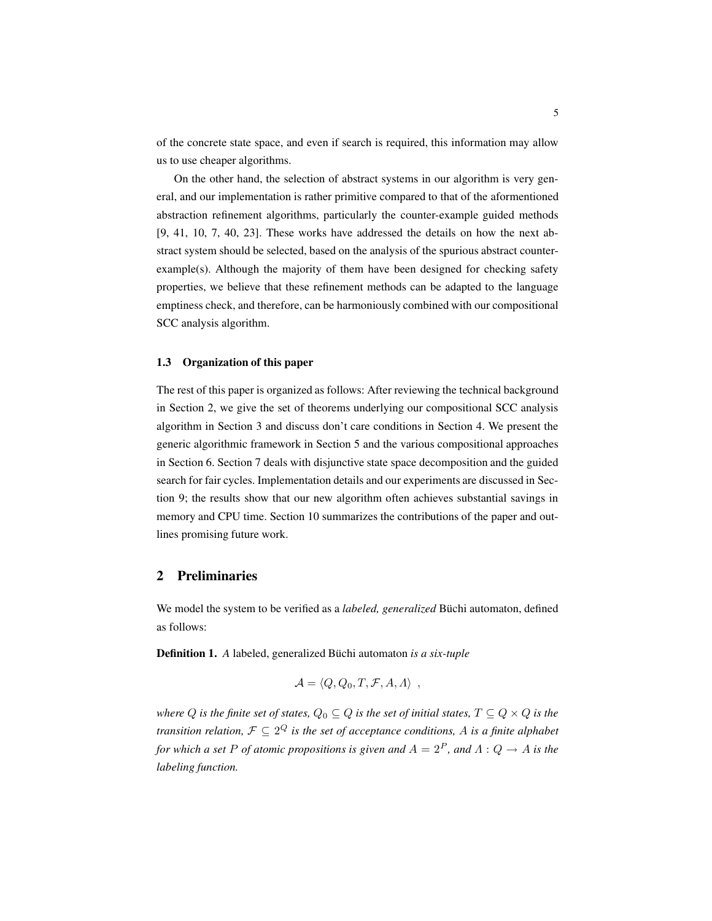of the concrete state space, and even if search is required, this information may allow us to use cheaper algorithms.

On the other hand, the selection of abstract systems in our algorithm is very general, and our implementation is rather primitive compared to that of the aformentioned abstraction refinement algorithms, particularly the counter-example guided methods [9, 41, 10, 7, 40, 23]. These works have addressed the details on how the next abstract system should be selected, based on the analysis of the spurious abstract counterexample(s). Although the majority of them have been designed for checking safety properties, we believe that these refinement methods can be adapted to the language emptiness check, and therefore, can be harmoniously combined with our compositional SCC analysis algorithm.

#### **1.3 Organization of this paper**

The rest of this paper is organized as follows: After reviewing the technical background in Section 2, we give the set of theorems underlying our compositional SCC analysis algorithm in Section 3 and discuss don't care conditions in Section 4. We present the generic algorithmic framework in Section 5 and the various compositional approaches in Section 6. Section 7 deals with disjunctive state space decomposition and the guided search for fair cycles. Implementation details and our experiments are discussed in Section 9; the results show that our new algorithm often achieves substantial savings in memory and CPU time. Section 10 summarizes the contributions of the paper and outlines promising future work.

### **2 Preliminaries**

We model the system to be verified as a *labeled, generalized* Büchi automaton, defined as follows:

**Definition 1.** *A* labeled, generalized Büchi automaton *is a six-tuple* 

$$
\mathcal{A} = \langle Q, Q_0, T, \mathcal{F}, A, A \rangle ,
$$

*where* Q *is the finite set of states*,  $Q_0 \subseteq Q$  *is the set of initial states,*  $T \subseteq Q \times Q$  *is the transition relation,* F ⊆ 2 <sup>Q</sup> *is the set of acceptance conditions,* A *is a finite alphabet for which a set*  $P$  *of atomic propositions is given and*  $A = 2^P$ *, and*  $\Lambda: Q \to A$  *is the labeling function.*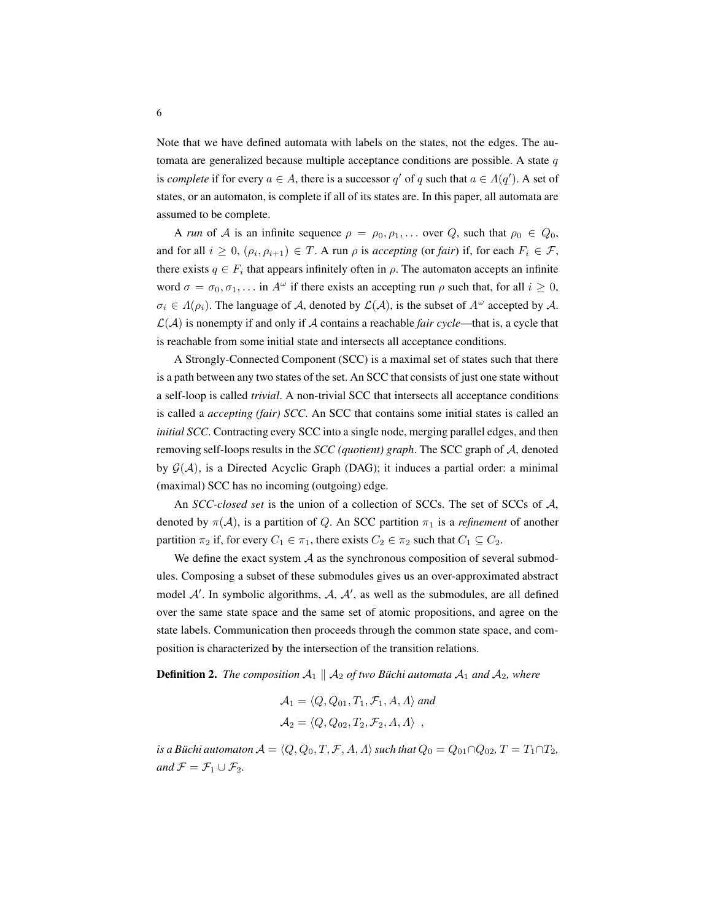Note that we have defined automata with labels on the states, not the edges. The automata are generalized because multiple acceptance conditions are possible. A state  $q$ is *complete* if for every  $a \in A$ , there is a successor q' of q such that  $a \in \Lambda(q')$ . A set of states, or an automaton, is complete if all of its states are. In this paper, all automata are assumed to be complete.

A *run* of A is an infinite sequence  $\rho = \rho_0, \rho_1, \ldots$  over Q, such that  $\rho_0 \in Q_0$ , and for all  $i \geq 0$ ,  $(\rho_i, \rho_{i+1}) \in T$ . A run  $\rho$  is *accepting* (or *fair*) if, for each  $F_i \in \mathcal{F}$ , there exists  $q \in F_i$  that appears infinitely often in  $\rho$ . The automaton accepts an infinite word  $\sigma = \sigma_0, \sigma_1, \ldots$  in  $A^{\omega}$  if there exists an accepting run  $\rho$  such that, for all  $i \geq 0$ ,  $\sigma_i \in \Lambda(\rho_i)$ . The language of A, denoted by  $\mathcal{L}(\mathcal{A})$ , is the subset of  $A^\omega$  accepted by A.  $\mathcal{L}(\mathcal{A})$  is nonempty if and only if A contains a reachable *fair cycle*—that is, a cycle that is reachable from some initial state and intersects all acceptance conditions.

A Strongly-Connected Component (SCC) is a maximal set of states such that there is a path between any two states of the set. An SCC that consists of just one state without a self-loop is called *trivial*. A non-trivial SCC that intersects all acceptance conditions is called a *accepting (fair) SCC*. An SCC that contains some initial states is called an *initial SCC*. Contracting every SCC into a single node, merging parallel edges, and then removing self-loops results in the *SCC (quotient) graph*. The SCC graph of A, denoted by  $G(\mathcal{A})$ , is a Directed Acyclic Graph (DAG); it induces a partial order: a minimal (maximal) SCC has no incoming (outgoing) edge.

An *SCC-closed set* is the union of a collection of SCCs. The set of SCCs of A, denoted by  $\pi(A)$ , is a partition of Q. An SCC partition  $\pi_1$  is a *refinement* of another partition  $\pi_2$  if, for every  $C_1 \in \pi_1$ , there exists  $C_2 \in \pi_2$  such that  $C_1 \subseteq C_2$ .

We define the exact system  $A$  as the synchronous composition of several submodules. Composing a subset of these submodules gives us an over-approximated abstract model  $A'$ . In symbolic algorithms,  $A$ ,  $A'$ , as well as the submodules, are all defined over the same state space and the same set of atomic propositions, and agree on the state labels. Communication then proceeds through the common state space, and composition is characterized by the intersection of the transition relations.

**Definition 2.** *The composition*  $A_1 \parallel A_2$  *of two Büchi automata*  $A_1$  *and*  $A_2$ *, where* 

$$
\mathcal{A}_1 = \langle Q, Q_{01}, T_1, \mathcal{F}_1, A, \Lambda \rangle \text{ and}
$$

$$
\mathcal{A}_2 = \langle Q, Q_{02}, T_2, \mathcal{F}_2, A, \Lambda \rangle,
$$

*is a Büchi automaton*  $A = \langle Q, Q_0, T, \mathcal{F}, A, \Lambda \rangle$  *such that*  $Q_0 = Q_{01} \cap Q_{02}$ ,  $T = T_1 \cap T_2$ *, and*  $\mathcal{F} = \mathcal{F}_1 \cup \mathcal{F}_2$ *.*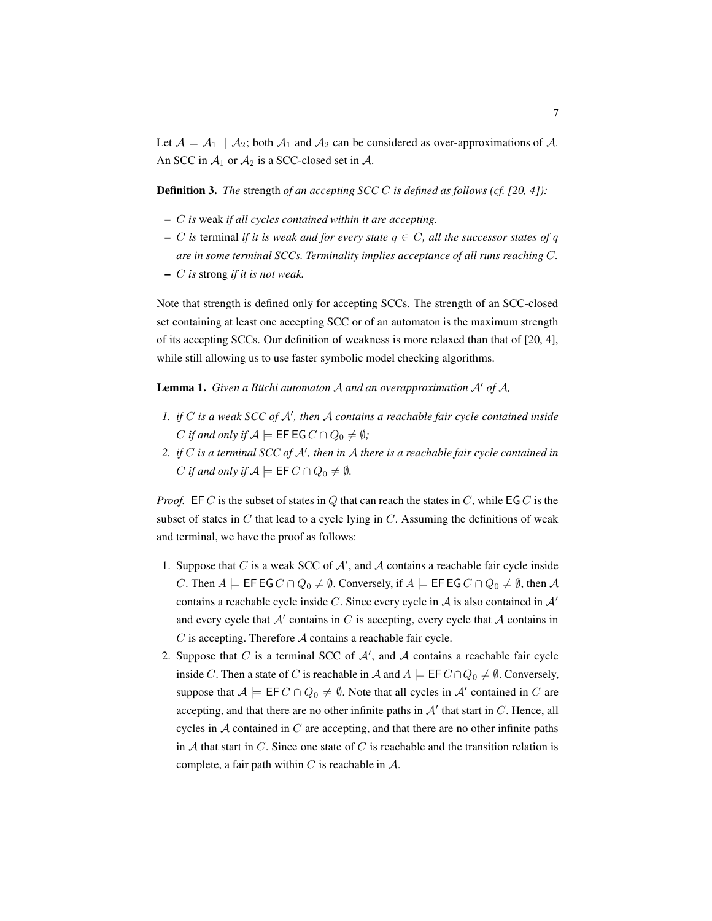Let  $A = A_1 \parallel A_2$ ; both  $A_1$  and  $A_2$  can be considered as over-approximations of A. An SCC in  $A_1$  or  $A_2$  is a SCC-closed set in A.

**Definition 3.** *The* strength *of an accepting SCC* C *is defined as follows (cf. [20, 4]):*

- **–** C *is* weak *if all cycles contained within it are accepting.*
- **−** C is terminal if it is weak and for every state  $q \in C$ , all the successor states of q *are in some terminal SCCs. Terminality implies acceptance of all runs reaching* C*.*
- **–** C *is* strong *if it is not weak.*

Note that strength is defined only for accepting SCCs. The strength of an SCC-closed set containing at least one accepting SCC or of an automaton is the maximum strength of its accepting SCCs. Our definition of weakness is more relaxed than that of [20, 4], while still allowing us to use faster symbolic model checking algorithms.

**Lemma 1.** *Given a Büchi automaton*  $A$  *and an overapproximation*  $A'$  *of*  $A$ *,* 

- *l. if C is a* weak SCC of A', then A contains a reachable fair cycle contained inside *C if* and only *if*  $A \models \textsf{EF} \, \textsf{EG} \, C \cap Q_0 \neq \emptyset$ ;
- 2. *if*  $C$  *is a terminal*  $SCC$  *of*  $A'$ , *then in*  $A$  *there is a reachable fair cycle contained in C* if and only if  $A \models \textsf{EF } C \cap Q_0 \neq \emptyset$ .

*Proof.* EF C is the subset of states in Q that can reach the states in C, while EGC is the subset of states in  $C$  that lead to a cycle lying in  $C$ . Assuming the definitions of weak and terminal, we have the proof as follows:

- 1. Suppose that  $C$  is a weak SCC of  $A'$ , and  $A$  contains a reachable fair cycle inside C. Then  $A \models$  EF EG  $C \cap Q_0 \neq \emptyset$ . Conversely, if  $A \models$  EF EG  $C \cap Q_0 \neq \emptyset$ , then A contains a reachable cycle inside C. Since every cycle in  $A$  is also contained in  $A'$ and every cycle that  $A'$  contains in  $C$  is accepting, every cycle that  $A$  contains in  $C$  is accepting. Therefore  $\mathcal A$  contains a reachable fair cycle.
- 2. Suppose that  $C$  is a terminal SCC of  $A'$ , and  $A$  contains a reachable fair cycle inside C. Then a state of C is reachable in A and  $A \models \textsf{EF} C \cap Q_0 \neq \emptyset$ . Conversely, suppose that  $A \models \textsf{EF } C \cap Q_0 \neq \emptyset$ . Note that all cycles in  $A'$  contained in C are accepting, and that there are no other infinite paths in  $A'$  that start in C. Hence, all cycles in  $A$  contained in  $C$  are accepting, and that there are no other infinite paths in A that start in C. Since one state of C is reachable and the transition relation is complete, a fair path within  $C$  is reachable in  $\mathcal{A}$ .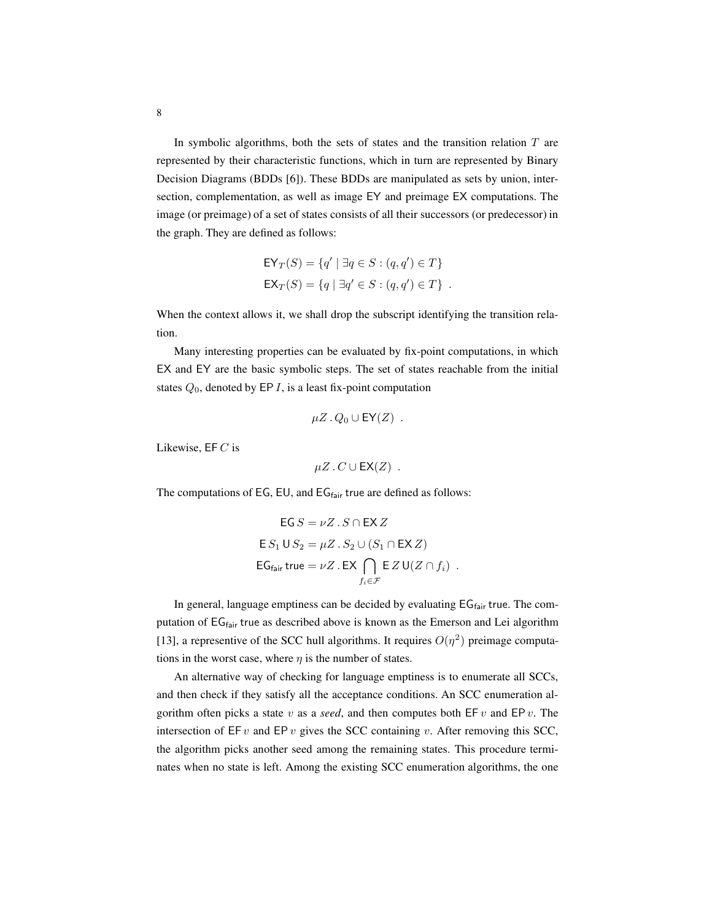In symbolic algorithms, both the sets of states and the transition relation  $T$  are represented by their characteristic functions, which in turn are represented by Binary Decision Diagrams (BDDs [6]). These BDDs are manipulated as sets by union, intersection, complementation, as well as image EY and preimage EX computations. The image (or preimage) of a set of states consists of all their successors (or predecessor) in the graph. They are defined as follows:

$$
\mathsf{EY}_T(S) = \{q' \mid \exists q \in S : (q, q') \in T\}
$$
  

$$
\mathsf{EX}_T(S) = \{q \mid \exists q' \in S : (q, q') \in T\} .
$$

When the context allows it, we shall drop the subscript identifying the transition relation.

Many interesting properties can be evaluated by fix-point computations, in which EX and EY are the basic symbolic steps. The set of states reachable from the initial states  $Q_0$ , denoted by EP I, is a least fix-point computation

$$
\mu Z \, . \, Q_0 \cup \text{EY}(Z) \, .
$$

Likewise,  $EF C$  is

$$
\mu Z . C \cup \mathsf{EX}(Z) .
$$

The computations of EG, EU, and EG<sub>fair</sub> true are defined as follows:

$$
\mathsf{EG}\,S = \nu Z \,.\, S \cap \mathsf{EX}\,Z
$$
\n
$$
\mathsf{E}\,S_1 \,\mathsf{U}\,S_2 = \mu Z \,.\, S_2 \cup (S_1 \cap \mathsf{EX}\,Z)
$$
\n
$$
\mathsf{EG}_{\mathsf{fair}}\,\mathsf{true} = \nu Z \,.\,\mathsf{EX}\,\bigcap_{f_i \in \mathcal{F}} \mathsf{E}\,Z\,\mathsf{U}(Z \cap f_i) \ .
$$

In general, language emptiness can be decided by evaluating EG<sub>fair</sub> true. The computation of EG<sub>fair</sub> true as described above is known as the Emerson and Lei algorithm [13], a representive of the SCC hull algorithms. It requires  $O(\eta^2)$  preimage computations in the worst case, where  $\eta$  is the number of states.

An alternative way of checking for language emptiness is to enumerate all SCCs, and then check if they satisfy all the acceptance conditions. An SCC enumeration algorithm often picks a state  $v$  as a *seed*, and then computes both  $EF v$  and  $EP v$ . The intersection of  $E_{\nu}$  and  $E_{\nu}$  gives the SCC containing v. After removing this SCC, the algorithm picks another seed among the remaining states. This procedure terminates when no state is left. Among the existing SCC enumeration algorithms, the one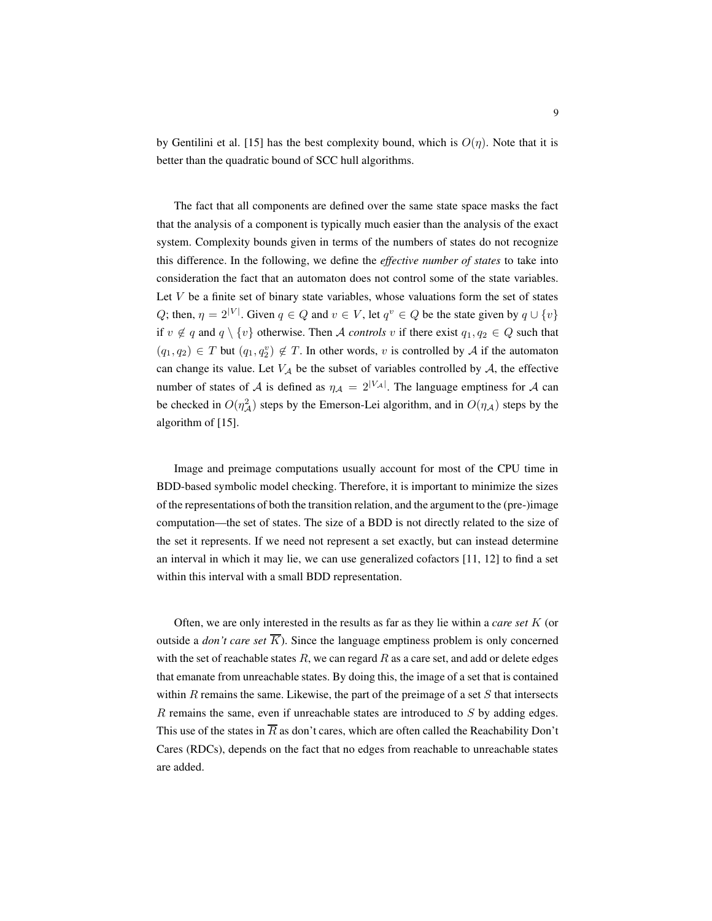by Gentilini et al. [15] has the best complexity bound, which is  $O(\eta)$ . Note that it is better than the quadratic bound of SCC hull algorithms.

The fact that all components are defined over the same state space masks the fact that the analysis of a component is typically much easier than the analysis of the exact system. Complexity bounds given in terms of the numbers of states do not recognize this difference. In the following, we define the *effective number of states* to take into consideration the fact that an automaton does not control some of the state variables. Let  $V$  be a finite set of binary state variables, whose valuations form the set of states Q; then,  $\eta = 2^{|V|}$ . Given  $q \in Q$  and  $v \in V$ , let  $q^v \in Q$  be the state given by  $q \cup \{v\}$ if  $v \notin q$  and  $q \setminus \{v\}$  otherwise. Then A *controls* v if there exist  $q_1, q_2 \in Q$  such that  $(q_1, q_2) \in T$  but  $(q_1, q_2^v) \notin T$ . In other words, v is controlled by A if the automaton can change its value. Let  $V_A$  be the subset of variables controlled by  $A$ , the effective number of states of A is defined as  $\eta_A = 2^{|V_A|}$ . The language emptiness for A can be checked in  $O(\eta_A^2)$  steps by the Emerson-Lei algorithm, and in  $O(\eta_A)$  steps by the algorithm of [15].

Image and preimage computations usually account for most of the CPU time in BDD-based symbolic model checking. Therefore, it is important to minimize the sizes of the representations of both the transition relation, and the argument to the (pre-)image computation—the set of states. The size of a BDD is not directly related to the size of the set it represents. If we need not represent a set exactly, but can instead determine an interval in which it may lie, we can use generalized cofactors [11, 12] to find a set within this interval with a small BDD representation.

Often, we are only interested in the results as far as they lie within a *care set* K (or outside a *don't care set*  $\overline{K}$ ). Since the language emptiness problem is only concerned with the set of reachable states  $R$ , we can regard  $R$  as a care set, and add or delete edges that emanate from unreachable states. By doing this, the image of a set that is contained within  $R$  remains the same. Likewise, the part of the preimage of a set  $S$  that intersects R remains the same, even if unreachable states are introduced to S by adding edges. This use of the states in  $\overline{R}$  as don't cares, which are often called the Reachability Don't Cares (RDCs), depends on the fact that no edges from reachable to unreachable states are added.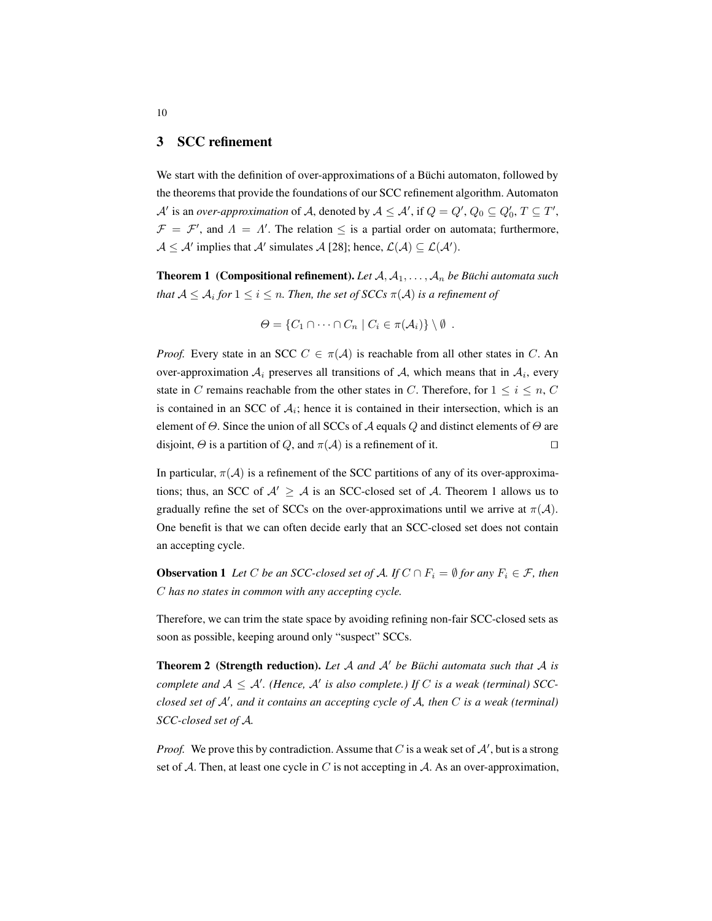### **3 SCC refinement**

We start with the definition of over-approximations of a Büchi automaton, followed by the theorems that provide the foundations of our SCC refinement algorithm. Automaton  $\mathcal{A}'$  is an *over-approximation* of  $\mathcal{A}$ , denoted by  $\mathcal{A} \leq \mathcal{A}'$ , if  $Q = Q'$ ,  $Q_0 \subseteq Q'_0$ ,  $T \subseteq T'$ ,  $\mathcal{F} = \mathcal{F}'$ , and  $\Lambda = \Lambda'$ . The relation  $\leq$  is a partial order on automata; furthermore,  $A \leq A'$  implies that A' simulates A [28]; hence,  $\mathcal{L}(A) \subseteq \mathcal{L}(A')$ .

**Theorem 1 (Compositional refinement).** Let  $A, A_1, \ldots, A_n$  be Büchi automata such  $t$ hat  $\mathcal{A} \leq \mathcal{A}_i$  for  $1 \leq i \leq n$ . Then, the set of SCCs  $\pi(\mathcal{A})$  is a refinement of

$$
\Theta = \{C_1 \cap \cdots \cap C_n \mid C_i \in \pi(\mathcal{A}_i)\} \setminus \emptyset.
$$

*Proof.* Every state in an SCC  $C \in \pi(\mathcal{A})$  is reachable from all other states in C. An over-approximation  $A_i$  preserves all transitions of A, which means that in  $A_i$ , every state in C remains reachable from the other states in C. Therefore, for  $1 \le i \le n$ , C is contained in an SCC of  $A_i$ ; hence it is contained in their intersection, which is an element of  $\Theta$ . Since the union of all SCCs of  $\mathcal A$  equals  $Q$  and distinct elements of  $\Theta$  are disjoint,  $\Theta$  is a partition of Q, and  $\pi(\mathcal{A})$  is a refinement of it.

In particular,  $\pi(A)$  is a refinement of the SCC partitions of any of its over-approximations; thus, an SCC of  $A' \geq A$  is an SCC-closed set of A. Theorem 1 allows us to gradually refine the set of SCCs on the over-approximations until we arrive at  $\pi(A)$ . One benefit is that we can often decide early that an SCC-closed set does not contain an accepting cycle.

**Observation 1** Let C be an SCC-closed set of A. If  $C \cap F_i = \emptyset$  for any  $F_i \in \mathcal{F}$ , then C *has no states in common with any accepting cycle.*

Therefore, we can trim the state space by avoiding refining non-fair SCC-closed sets as soon as possible, keeping around only "suspect" SCCs.

**Theorem 2 (Strength reduction).** Let  $A$  and  $A'$  be Büchi automata such that  $A$  is *complete and*  $A \leq A'$ . (Hence, A' is also complete.) If C is a weak (terminal) SCC*closed set of* A<sup>0</sup> *, and it contains an accepting cycle of* A*, then* C *is a weak (terminal) SCC-closed set of* A*.*

*Proof.* We prove this by contradiction. Assume that C is a weak set of  $A'$ , but is a strong set of  $A$ . Then, at least one cycle in C is not accepting in  $A$ . As an over-approximation,

10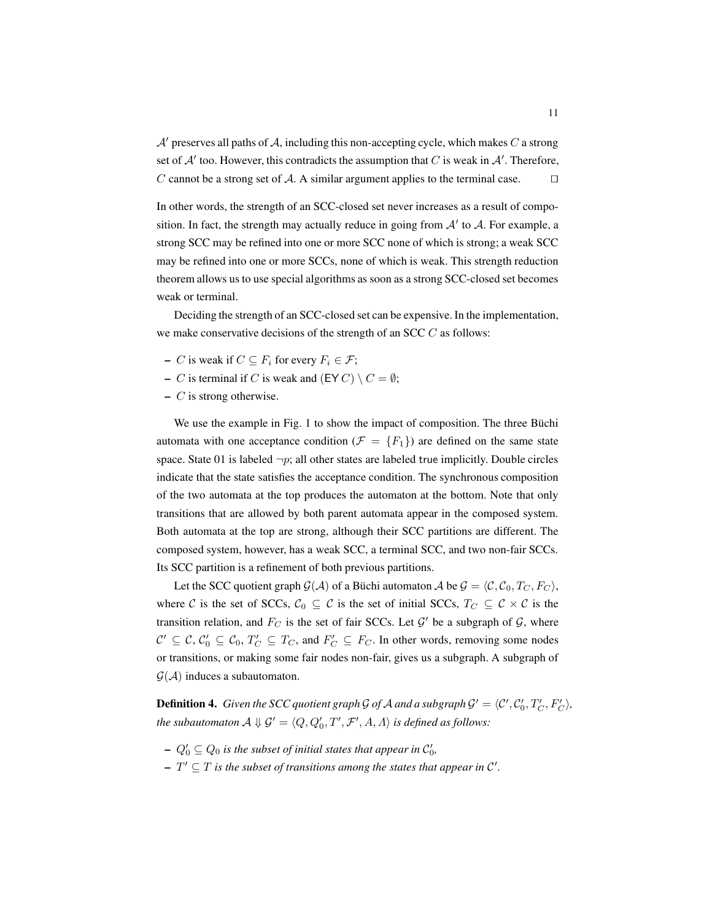$\mathcal A'$  preserves all paths of  $\mathcal A$ , including this non-accepting cycle, which makes C a strong set of  $A'$  too. However, this contradicts the assumption that C is weak in  $A'$ . Therefore, C cannot be a strong set of A. A similar argument applies to the terminal case.  $\square$ 

In other words, the strength of an SCC-closed set never increases as a result of composition. In fact, the strength may actually reduce in going from  $A'$  to  $A$ . For example, a strong SCC may be refined into one or more SCC none of which is strong; a weak SCC may be refined into one or more SCCs, none of which is weak. This strength reduction theorem allows us to use special algorithms as soon as a strong SCC-closed set becomes weak or terminal.

Deciding the strength of an SCC-closed set can be expensive.In the implementation, we make conservative decisions of the strength of an SCC C as follows:

- **−** *C* is weak if  $C \subseteq F_i$  for every  $F_i \in \mathcal{F}$ ;
- **–** C is terminal if C is weak and  $(\text{EY } C) \setminus C = \emptyset$ ;
- **–** C is strong otherwise.

We use the example in Fig. 1 to show the impact of composition. The three Büchi automata with one acceptance condition ( $\mathcal{F} = \{F_1\}$ ) are defined on the same state space. State 01 is labeled  $\neg p$ ; all other states are labeled true implicitly. Double circles indicate that the state satisfies the acceptance condition. The synchronous composition of the two automata at the top produces the automaton at the bottom. Note that only transitions that are allowed by both parent automata appear in the composed system. Both automata at the top are strong, although their SCC partitions are different. The composed system, however, has a weak SCC, a terminal SCC, and two non-fair SCCs. Its SCC partition is a refinement of both previous partitions.

Let the SCC quotient graph  $\mathcal{G}(\mathcal{A})$  of a Büchi automaton A be  $\mathcal{G} = \langle \mathcal{C}, \mathcal{C}_0, T_C, F_C \rangle$ , where C is the set of SCCs,  $C_0 \subseteq C$  is the set of initial SCCs,  $T_C \subseteq C \times C$  is the transition relation, and  $F_C$  is the set of fair SCCs. Let  $\mathcal{G}'$  be a subgraph of  $\mathcal{G}$ , where  $\mathcal{C}' \subseteq \mathcal{C}, \mathcal{C}'_0 \subseteq \mathcal{C}_0, T'_C \subseteq T_C$ , and  $F'_C \subseteq F_C$ . In other words, removing some nodes or transitions, or making some fair nodes non-fair, gives us a subgraph. A subgraph of  $G(\mathcal{A})$  induces a subautomaton.

**Definition 4.** Given the SCC quotient graph G of  $A$  and a subgraph  $G' = \langle C', C'_0, T'_C, F'_C \rangle$ , the subautomaton  $A \Downarrow \mathcal{G}' = \langle Q, Q'_0, T', \mathcal{F}', A, \Lambda \rangle$  is defined as follows:

- $Q'_0 \subseteq Q_0$  *is the subset of initial states that appear in*  $C'_0$ ,
- $\mathcal{L} \subset T' \subseteq T$  *is the subset of transitions among the states that appear in*  $\mathcal{C}'$ *.*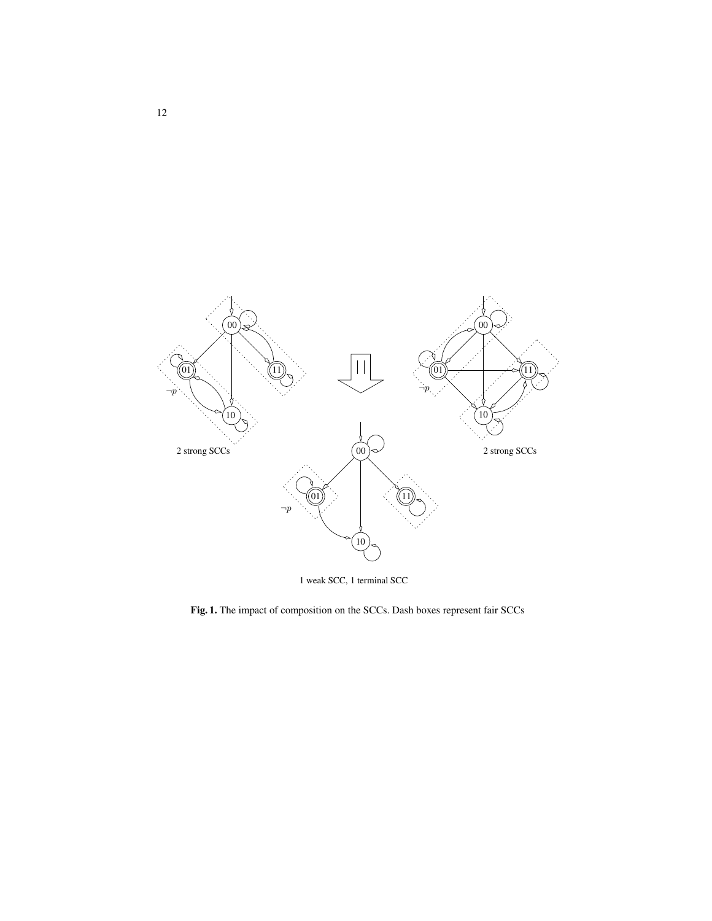

**Fig. 1.** The impact of composition on the SCCs. Dash boxes represent fair SCCs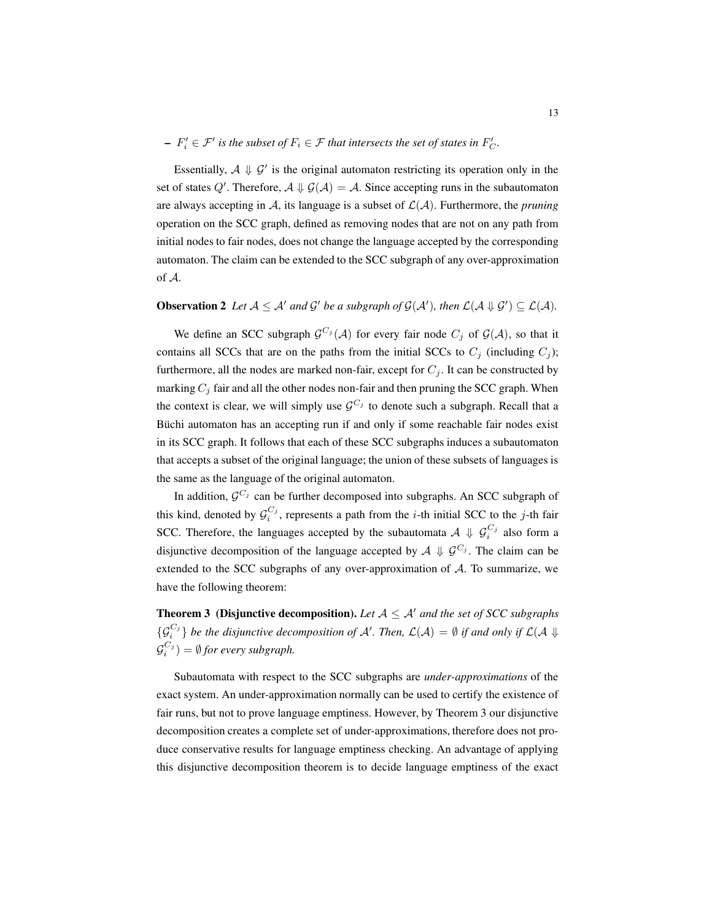# $\mathcal{F}_i \in \mathcal{F}'$  *is the subset of*  $F_i \in \mathcal{F}$  *that intersects the set of states in*  $F'_C$ *.*

Essentially,  $A \Downarrow G'$  is the original automaton restricting its operation only in the set of states Q'. Therefore,  $A \Downarrow \mathcal{G}(A) = A$ . Since accepting runs in the subautomaton are always accepting in  $A$ , its language is a subset of  $\mathcal{L}(A)$ . Furthermore, the *pruning* operation on the SCC graph, defined as removing nodes that are not on any path from initial nodes to fair nodes, does not change the language accepted by the corresponding automaton. The claim can be extended to the SCC subgraph of any over-approximation of A.

**Observation 2** Let  $A \leq A'$  and  $G'$  be a subgraph of  $G(A')$ , then  $\mathcal{L}(A \Downarrow G') \subseteq \mathcal{L}(A)$ .

We define an SCC subgraph  $\mathcal{G}^{C_j}(\mathcal{A})$  for every fair node  $C_j$  of  $\mathcal{G}(\mathcal{A})$ , so that it contains all SCCs that are on the paths from the initial SCCs to  $C_j$  (including  $C_j$ ); furthermore, all the nodes are marked non-fair, except for  $C_j$ . It can be constructed by marking  $C_i$  fair and all the other nodes non-fair and then pruning the SCC graph. When the context is clear, we will simply use  $G^{C_j}$  to denote such a subgraph. Recall that a Büchi automaton has an accepting run if and only if some reachable fair nodes exist in its SCC graph. It follows that each of these SCC subgraphs induces a subautomaton that accepts a subset of the original language; the union of these subsets of languages is the same as the language of the original automaton.

In addition,  $\mathcal{G}^{C_j}$  can be further decomposed into subgraphs. An SCC subgraph of this kind, denoted by  $\mathcal{G}_i^{C_j}$ , represents a path from the *i*-th initial SCC to the *j*-th fair SCC. Therefore, the languages accepted by the subautomata  $A \Downarrow \mathcal{G}_i^{C_j}$  also form a disjunctive decomposition of the language accepted by  $A \Downarrow G^{C_j}$ . The claim can be extended to the SCC subgraphs of any over-approximation of  $A$ . To summarize, we have the following theorem:

**Theorem 3 (Disjunctive decomposition).** Let  $A \leq A'$  and the set of SCC subgraphs  $\{\mathcal{G}_i^{C_j}\}\$ be the disjunctive decomposition of A'. Then,  $\mathcal{L}(\mathcal{A}) = \emptyset$  if and only if  $\mathcal{L}(\mathcal{A} \Downarrow)$  $\mathcal{G}_i^{C_j}$ ) =  $\emptyset$  *for every subgraph.* 

Subautomata with respect to the SCC subgraphs are *under-approximations* of the exact system. An under-approximation normally can be used to certify the existence of fair runs, but not to prove language emptiness. However, by Theorem 3 our disjunctive decomposition creates a complete set of under-approximations, therefore does not produce conservative results for language emptiness checking. An advantage of applying this disjunctive decomposition theorem is to decide language emptiness of the exact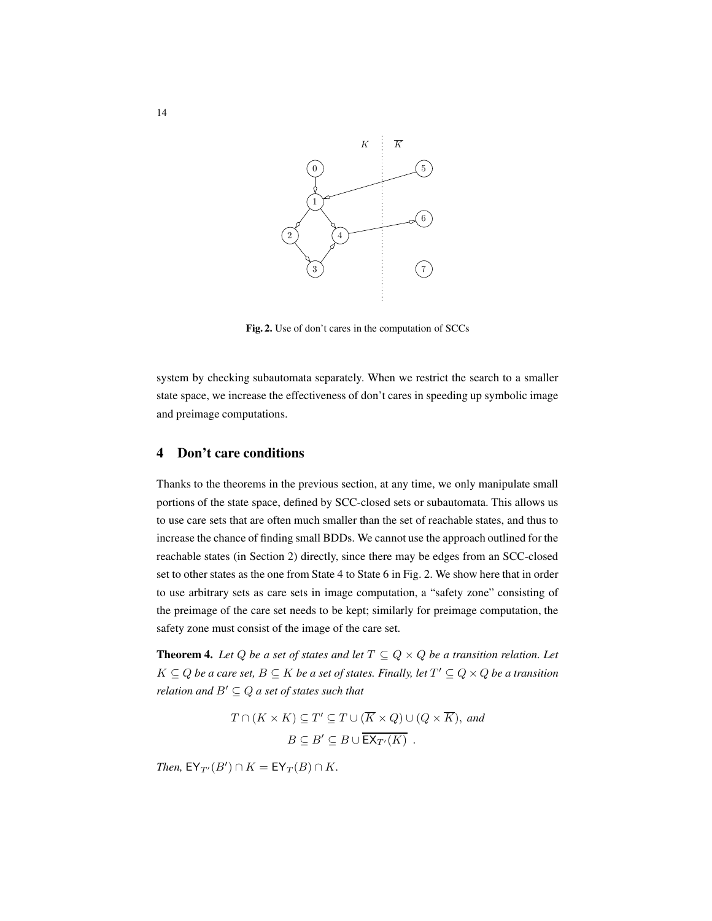

**Fig. 2.** Use of don't cares in the computation of SCCs

system by checking subautomata separately. When we restrict the search to a smaller state space, we increase the effectiveness of don't cares in speeding up symbolic image and preimage computations.

## **4 Don't care conditions**

Thanks to the theorems in the previous section, at any time, we only manipulate small portions of the state space, defined by SCC-closed sets or subautomata. This allows us to use care sets that are often much smaller than the set of reachable states, and thus to increase the chance of finding small BDDs. We cannot use the approach outlined for the reachable states (in Section 2) directly, since there may be edges from an SCC-closed set to other states as the one from State 4 to State 6 in Fig. 2. We show here that in order to use arbitrary sets as care sets in image computation, a "safety zone" consisting of the preimage of the care set needs to be kept; similarly for preimage computation, the safety zone must consist of the image of the care set.

**Theorem 4.** Let Q be a set of states and let  $T \subseteq Q \times Q$  be a transition relation. Let  $K \subseteq Q$  *be a care set,*  $B \subseteq K$  *be a set of states. Finally, let*  $T' \subseteq Q \times Q$  *be a transition relation and*  $B' \subseteq Q$  *a set of states such that* 

$$
T \cap (K \times K) \subseteq T' \subseteq T \cup (\overline{K} \times Q) \cup (Q \times \overline{K}),
$$
 and  
 $B \subseteq B' \subseteq B \cup \overline{\mathsf{EX}_{T'}(K)}$ .

*Then,*  $EY_{T'}(B') \cap K = EY_T(B) \cap K$ *.*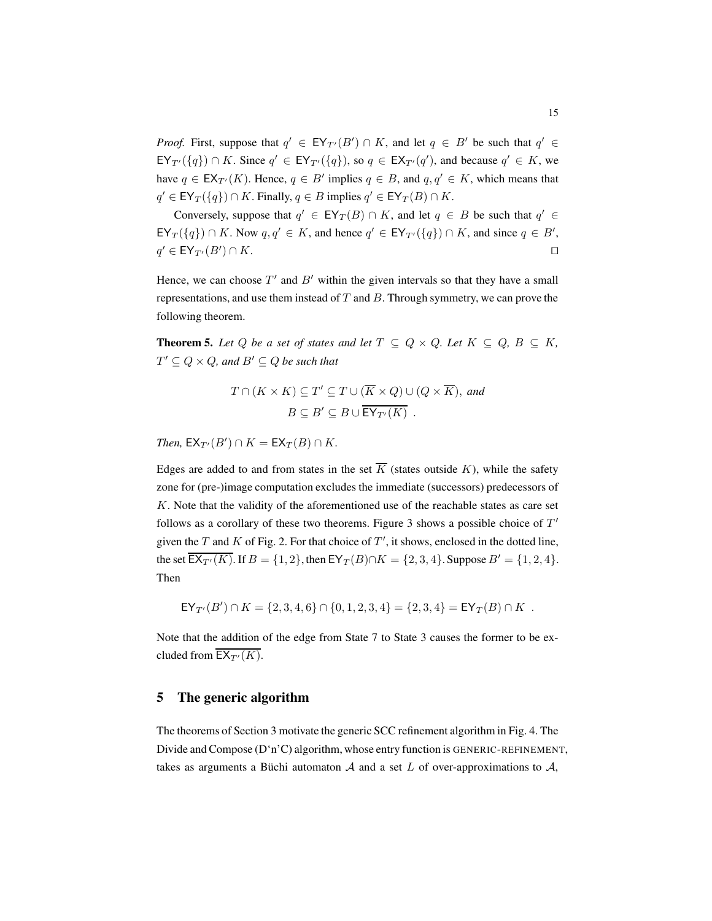*Proof.* First, suppose that  $q' \in EY_{T'}(B') \cap K$ , and let  $q \in B'$  be such that  $q' \in EY_{T'}(B')$  $EY_{T}(\lbrace q \rbrace) \cap K$ . Since  $q' \in EY_{T}(\lbrace q \rbrace)$ , so  $q \in EX_{T}(q')$ , and because  $q' \in K$ , we have  $q \in \mathsf{EX}_{T'}(K)$ . Hence,  $q \in B'$  implies  $q \in B$ , and  $q, q' \in K$ , which means that  $q' \in EY_T(\lbrace q \rbrace) \cap K$ . Finally,  $q \in B$  implies  $q' \in EY_T(B) \cap K$ .

Conversely, suppose that  $q' \in \text{EY}_T(B) \cap K$ , and let  $q \in B$  be such that  $q' \in$  $EY_T(\lbrace q \rbrace) \cap K$ . Now  $q, q' \in K$ , and hence  $q' \in EY_{T'}(\lbrace q \rbrace) \cap K$ , and since  $q \in B'$ ,  $q' \in \mathsf{EY}_{T'}(B'$  $) \cap K.$ 

Hence, we can choose  $T'$  and  $B'$  within the given intervals so that they have a small representations, and use them instead of  $T$  and  $B$ . Through symmetry, we can prove the following theorem.

**Theorem 5.** Let Q be a set of states and let  $T \subseteq Q \times Q$ . Let  $K \subseteq Q$ ,  $B \subseteq K$ ,  $T' \subseteq Q \times Q$ , and  $B' \subseteq Q$  be such that

$$
T \cap (K \times K) \subseteq T' \subseteq T \cup (\overline{K} \times Q) \cup (Q \times \overline{K}),
$$
 and  
 $B \subseteq B' \subseteq B \cup \overline{\text{EY}_{T'}(K)}$ .

*Then,*  $EX_{T'}(B') \cap K = EX_T(B) \cap K$ *.* 

Edges are added to and from states in the set  $\overline{K}$  (states outside K), while the safety zone for (pre-)image computation excludes the immediate (successors) predecessors of K. Note that the validity of the aforementioned use of the reachable states as care set follows as a corollary of these two theorems. Figure 3 shows a possible choice of  $T'$ given the T and K of Fig. 2. For that choice of  $T'$ , it shows, enclosed in the dotted line, the set  $\overline{\mathsf{EX}_{T'}(K)}$ . If  $B = \{1, 2\}$ , then  $\mathsf{EY}_T(B) \cap K = \{2, 3, 4\}$ . Suppose  $B' = \{1, 2, 4\}$ . Then

$$
EY_{T'}(B') \cap K = \{2, 3, 4, 6\} \cap \{0, 1, 2, 3, 4\} = \{2, 3, 4\} = EY_T(B) \cap K.
$$

Note that the addition of the edge from State 7 to State 3 causes the former to be excluded from  $\overline{\mathsf{EX}_{T'}(K)}$ .

# **5 The generic algorithm**

The theorems of Section 3 motivate the generic SCC refinement algorithm in Fig. 4. The Divide and Compose (D'n'C) algorithm, whose entry function is GENERIC-REFINEMENT, takes as arguments a Büchi automaton  $A$  and a set  $L$  of over-approximations to  $A$ ,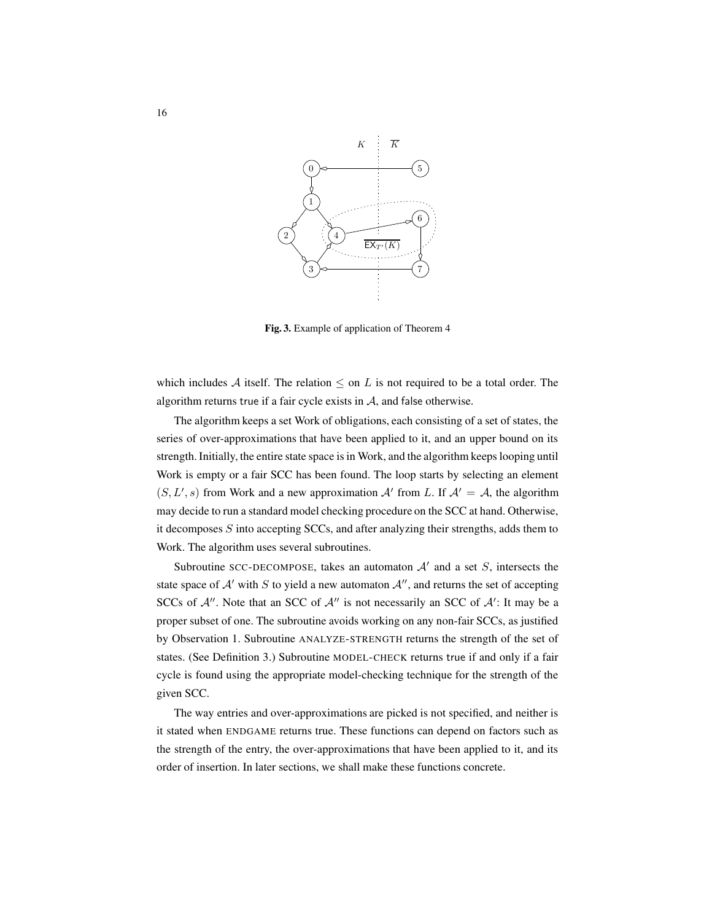

**Fig. 3.** Example of application of Theorem 4

which includes A itself. The relation  $\leq$  on L is not required to be a total order. The algorithm returns true if a fair cycle exists in A, and false otherwise.

The algorithm keeps a set Work of obligations, each consisting of a set of states, the series of over-approximations that have been applied to it, and an upper bound on its strength. Initially, the entire state space is in Work, and the algorithm keeps looping until Work is empty or a fair SCC has been found. The loop starts by selecting an element  $(S, L', s)$  from Work and a new approximation A' from L. If  $A' = A$ , the algorithm may decide to run a standard model checking procedure on the SCC at hand. Otherwise, it decomposes  $S$  into accepting SCCs, and after analyzing their strengths, adds them to Work. The algorithm uses several subroutines.

Subroutine SCC-DECOMPOSE, takes an automaton  $A'$  and a set S, intersects the state space of  $A'$  with S to yield a new automaton  $A''$ , and returns the set of accepting SCCs of  $A''$ . Note that an SCC of  $A''$  is not necessarily an SCC of  $A'$ : It may be a proper subset of one. The subroutine avoids working on any non-fair SCCs, as justified by Observation 1. Subroutine ANALYZE-STRENGTH returns the strength of the set of states. (See Definition 3.) Subroutine MODEL-CHECK returns true if and only if a fair cycle is found using the appropriate model-checking technique for the strength of the given SCC.

The way entries and over-approximations are picked is not specified, and neither is it stated when ENDGAME returns true. These functions can depend on factors such as the strength of the entry, the over-approximations that have been applied to it, and its order of insertion. In later sections, we shall make these functions concrete.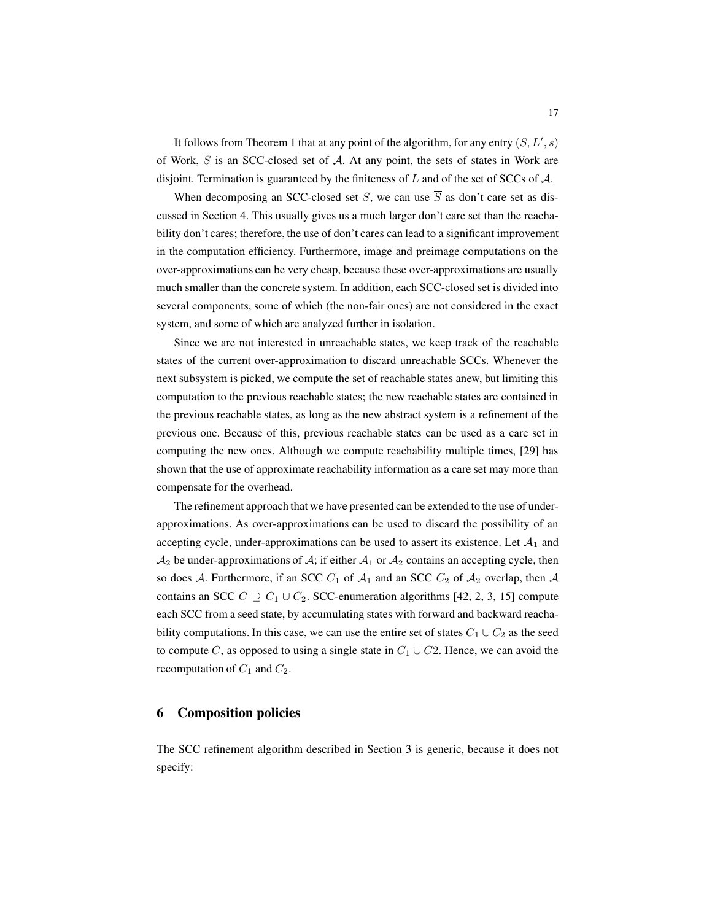It follows from Theorem 1 that at any point of the algorithm, for any entry  $(S, L', s)$ of Work,  $S$  is an SCC-closed set of  $A$ . At any point, the sets of states in Work are disjoint. Termination is guaranteed by the finiteness of  $L$  and of the set of SCCs of  $A$ .

When decomposing an SCC-closed set S, we can use  $\overline{S}$  as don't care set as discussed in Section 4. This usually gives us a much larger don't care set than the reachability don't cares; therefore, the use of don't cares can lead to a significant improvement in the computation efficiency. Furthermore, image and preimage computations on the over-approximations can be very cheap, because these over-approximations are usually much smaller than the concrete system. In addition, each SCC-closed set is divided into several components, some of which (the non-fair ones) are not considered in the exact system, and some of which are analyzed further in isolation.

Since we are not interested in unreachable states, we keep track of the reachable states of the current over-approximation to discard unreachable SCCs. Whenever the next subsystem is picked, we compute the set of reachable states anew, but limiting this computation to the previous reachable states; the new reachable states are contained in the previous reachable states, as long as the new abstract system is a refinement of the previous one. Because of this, previous reachable states can be used as a care set in computing the new ones. Although we compute reachability multiple times, [29] has shown that the use of approximate reachability information as a care set may more than compensate for the overhead.

The refinement approach that we have presented can be extended to the use of underapproximations. As over-approximations can be used to discard the possibility of an accepting cycle, under-approximations can be used to assert its existence. Let  $A_1$  and  $A_2$  be under-approximations of A; if either  $A_1$  or  $A_2$  contains an accepting cycle, then so does A. Furthermore, if an SCC  $C_1$  of  $A_1$  and an SCC  $C_2$  of  $A_2$  overlap, then A contains an SCC  $C \supseteq C_1 \cup C_2$ . SCC-enumeration algorithms [42, 2, 3, 15] compute each SCC from a seed state, by accumulating states with forward and backward reachability computations. In this case, we can use the entire set of states  $C_1 \cup C_2$  as the seed to compute C, as opposed to using a single state in  $C_1 \cup C_2$ . Hence, we can avoid the recomputation of  $C_1$  and  $C_2$ .

### **6 Composition policies**

The SCC refinement algorithm described in Section 3 is generic, because it does not specify: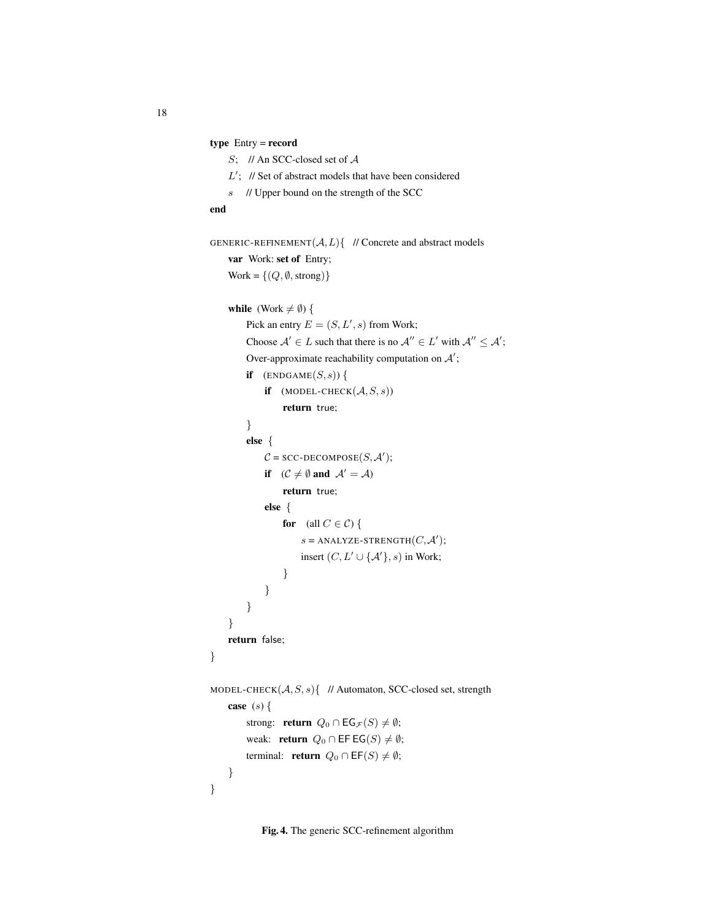```
type Entry = record
```

```
S; // An SCC-closed set of AL'; // Set of abstract models that have been considered
     s // Upper bound on the strength of the SCC
end
GENERIC-REFINEMENT(A, L) // Concrete and abstract models
     var Work: set of Entry;
     Work = \{(Q, \emptyset, \text{strong})\}while (Work \neq Ø) {
          Pick an entry E = (S, L', s) from Work;
          Choose \mathcal{A}' \in L such that there is no \mathcal{A}'' \in L' with \mathcal{A}'' \leq \mathcal{A}';
          Over-approximate reachability computation on A';
          if (ENDGAME(S, s)) {
               if (MODEL-CHECK(\mathcal{A}, S, s))return true;
          }
          else {
               C = \text{SCC-DECOMPOSE}(S, A');if (C \neq \emptyset \text{ and } A' = A)return true;
              else {
                    for (all C \in \mathcal{C}) {
                         s = \text{ANALYZE-STRENGTH}(C, \mathcal{A}');insert (C, L' \cup \{A'\}, s) in Work;
                    }
              }
          }
     }
     return false;
}
MODEL-CHECK(A, S, s) // Automaton, SCC-closed set, strength
     case (s) {
          strong: return Q_0 \cap \mathsf{EG}_{\mathcal{F}}(S) \neq \emptyset;weak: return Q_0 \cap \text{EF EG}(S) \neq \emptyset;terminal: return Q_0 \cap \mathsf{EF}(S) \neq \emptyset;}
}
```


18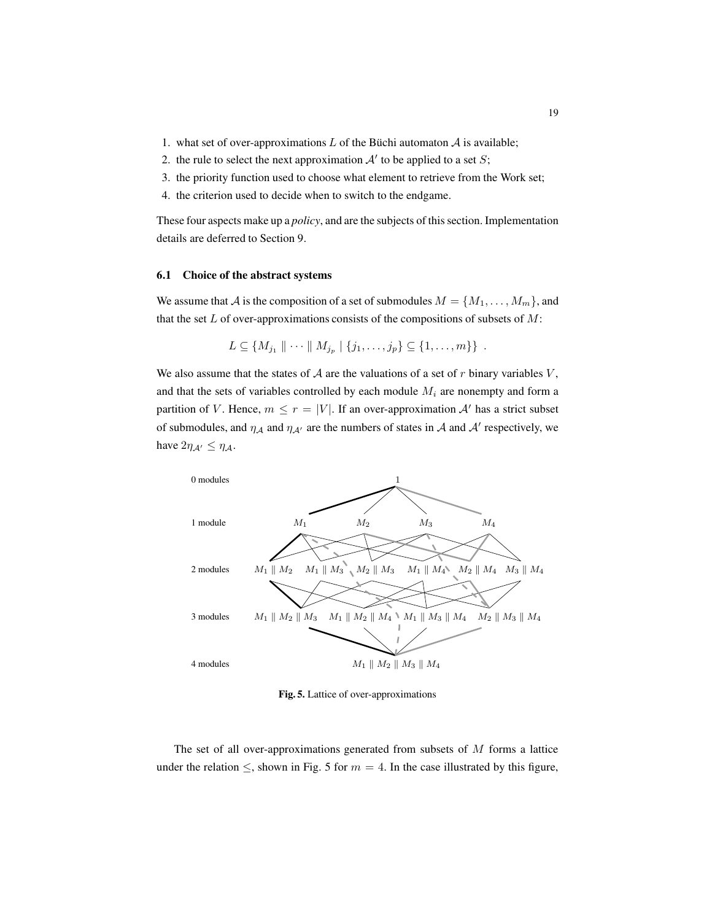- 1. what set of over-approximations  $L$  of the Büchi automaton  $A$  is available;
- 2. the rule to select the next approximation  $A'$  to be applied to a set S;
- 3. the priority function used to choose what element to retrieve from the Work set;
- 4. the criterion used to decide when to switch to the endgame.

These four aspects make up a *policy*, and are the subjects of this section. Implementation details are deferred to Section 9.

#### **6.1 Choice of the abstract systems**

We assume that A is the composition of a set of submodules  $M = \{M_1, \ldots, M_m\}$ , and that the set  $L$  of over-approximations consists of the compositions of subsets of  $M$ :

$$
L \subseteq \{M_{j_1} \mid \cdots \mid M_{j_p} \mid \{j_1, \ldots, j_p\} \subseteq \{1, \ldots, m\}\}.
$$

We also assume that the states of  $A$  are the valuations of a set of r binary variables  $V$ , and that the sets of variables controlled by each module  $M_i$  are nonempty and form a partition of V. Hence,  $m \le r = |V|$ . If an over-approximation A' has a strict subset of submodules, and  $\eta_A$  and  $\eta_{A'}$  are the numbers of states in A and A' respectively, we have  $2\eta_{A'} \leq \eta_A$ .



**Fig. 5.** Lattice of over-approximations

The set of all over-approximations generated from subsets of  $M$  forms a lattice under the relation  $\leq$ , shown in Fig. 5 for  $m = 4$ . In the case illustrated by this figure,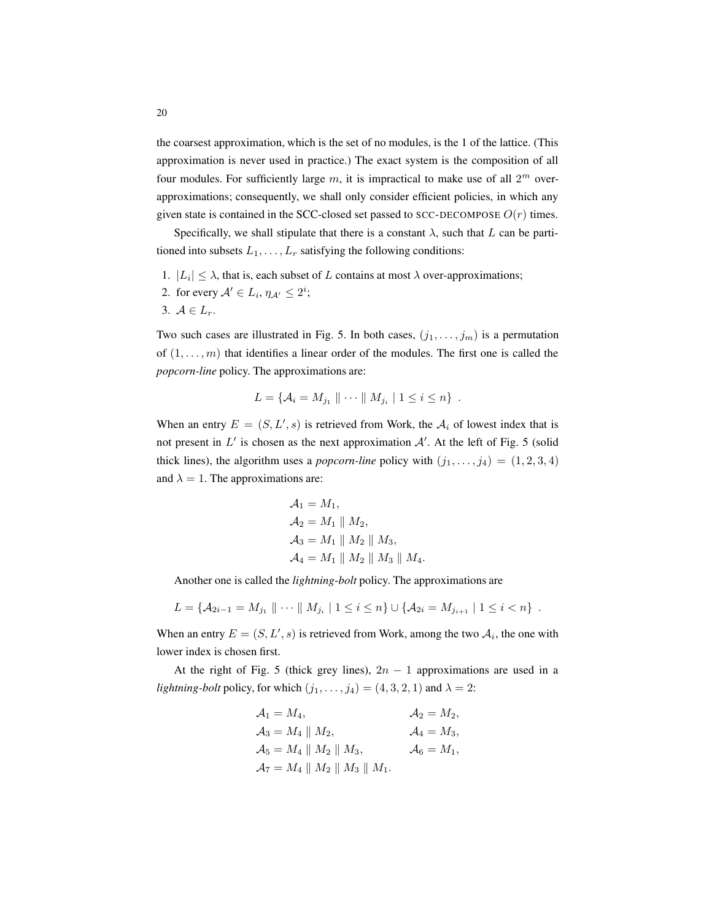the coarsest approximation, which is the set of no modules, is the 1 of the lattice. (This approximation is never used in practice.) The exact system is the composition of all four modules. For sufficiently large  $m$ , it is impractical to make use of all  $2^m$  overapproximations; consequently, we shall only consider efficient policies, in which any given state is contained in the SCC-closed set passed to SCC-DECOMPOSE  $O(r)$  times.

Specifically, we shall stipulate that there is a constant  $\lambda$ , such that L can be partitioned into subsets  $L_1, \ldots, L_r$  satisfying the following conditions:

- 1.  $|L_i| \leq \lambda$ , that is, each subset of L contains at most  $\lambda$  over-approximations;
- 2. for every  $\mathcal{A}' \in L_i$ ,  $\eta_{\mathcal{A}'} \leq 2^i$ ;
- 3.  $A \in L_r$ .

Two such cases are illustrated in Fig. 5. In both cases,  $(j_1, \ldots, j_m)$  is a permutation of  $(1, \ldots, m)$  that identifies a linear order of the modules. The first one is called the *popcorn-line* policy. The approximations are:

$$
L = \{ \mathcal{A}_i = M_{j_1} \mid \cdots \mid \mid M_{j_i} \mid 1 \leq i \leq n \} .
$$

When an entry  $E = (S, L', s)$  is retrieved from Work, the  $A_i$  of lowest index that is not present in  $L'$  is chosen as the next approximation  $A'$ . At the left of Fig. 5 (solid thick lines), the algorithm uses a *popcorn-line* policy with  $(j_1, \ldots, j_4) = (1, 2, 3, 4)$ and  $\lambda = 1$ . The approximations are:

$$
\begin{aligned} \mathcal{A}_1 &= M_1, \\ \mathcal{A}_2 &= M_1 \parallel M_2, \\ \mathcal{A}_3 &= M_1 \parallel M_2 \parallel M_3, \\ \mathcal{A}_4 &= M_1 \parallel M_2 \parallel M_3 \parallel M_4. \end{aligned}
$$

Another one is called the *lightning-bolt* policy. The approximations are

$$
L = \{ \mathcal{A}_{2i-1} = M_{j_1} \parallel \cdots \parallel M_{j_i} \mid 1 \leq i \leq n \} \cup \{ \mathcal{A}_{2i} = M_{j_{i+1}} \mid 1 \leq i < n \} .
$$

When an entry  $E = (S, L', s)$  is retrieved from Work, among the two  $A_i$ , the one with lower index is chosen first.

At the right of Fig. 5 (thick grey lines),  $2n - 1$  approximations are used in a *lightning-bolt* policy, for which  $(j_1, \ldots, j_4) = (4, 3, 2, 1)$  and  $\lambda = 2$ :

$$
\mathcal{A}_1 = M_4, \qquad \qquad \mathcal{A}_2 = M_2, \n\mathcal{A}_3 = M_4 \parallel M_2, \qquad \qquad \mathcal{A}_4 = M_3, \n\mathcal{A}_5 = M_4 \parallel M_2 \parallel M_3, \qquad \qquad \mathcal{A}_6 = M_1, \n\mathcal{A}_7 = M_4 \parallel M_2 \parallel M_3 \parallel M_1.
$$

20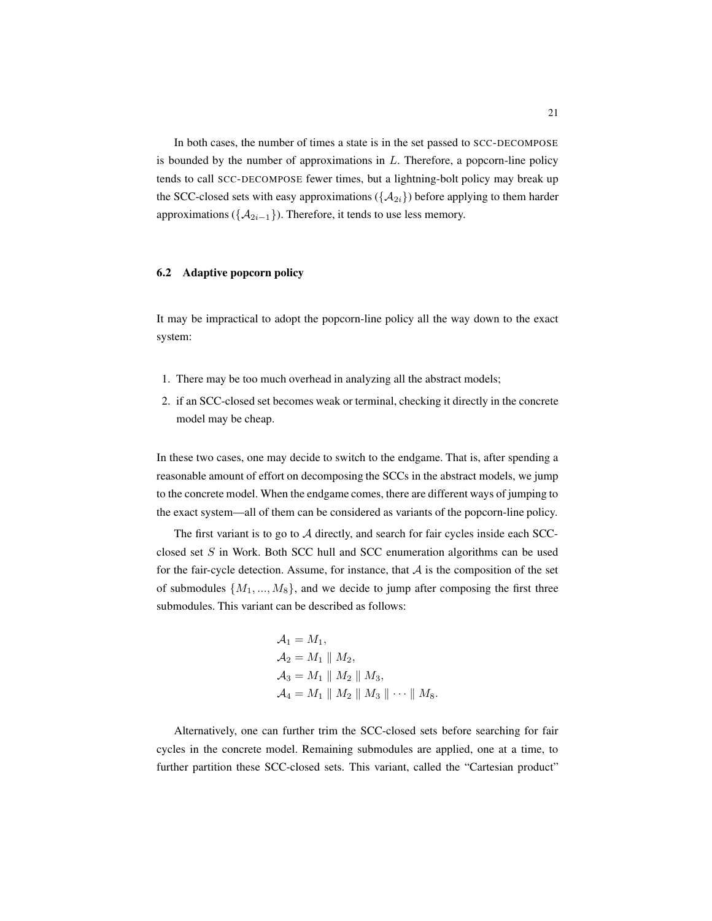In both cases, the number of times a state is in the set passed to SCC-DECOMPOSE is bounded by the number of approximations in  $L$ . Therefore, a popcorn-line policy tends to call SCC-DECOMPOSE fewer times, but a lightning-bolt policy may break up the SCC-closed sets with easy approximations ( $\{A_{2i}\}$ ) before applying to them harder approximations ( $\{A_{2i-1}\}$ ). Therefore, it tends to use less memory.

#### **6.2 Adaptive popcorn policy**

It may be impractical to adopt the popcorn-line policy all the way down to the exact system:

- 1. There may be too much overhead in analyzing all the abstract models;
- 2. if an SCC-closed set becomes weak or terminal, checking it directly in the concrete model may be cheap.

In these two cases, one may decide to switch to the endgame. That is, after spending a reasonable amount of effort on decomposing the SCCs in the abstract models, we jump to the concrete model. When the endgame comes, there are different ways of jumping to the exact system—all of them can be considered as variants of the popcorn-line policy.

The first variant is to go to  $A$  directly, and search for fair cycles inside each SCCclosed set  $S$  in Work. Both SCC hull and SCC enumeration algorithms can be used for the fair-cycle detection. Assume, for instance, that  $A$  is the composition of the set of submodules  $\{M_1, ..., M_8\}$ , and we decide to jump after composing the first three submodules. This variant can be described as follows:

> $\mathcal{A}_1 = M_1$ ,  $A_2 = M_1 || M_2,$  $\mathcal{A}_3 = M_1 || M_2 || M_3,$  $\mathcal{A}_4 = M_1 \parallel M_2 \parallel M_3 \parallel \cdots \parallel M_8.$

Alternatively, one can further trim the SCC-closed sets before searching for fair cycles in the concrete model. Remaining submodules are applied, one at a time, to further partition these SCC-closed sets. This variant, called the "Cartesian product"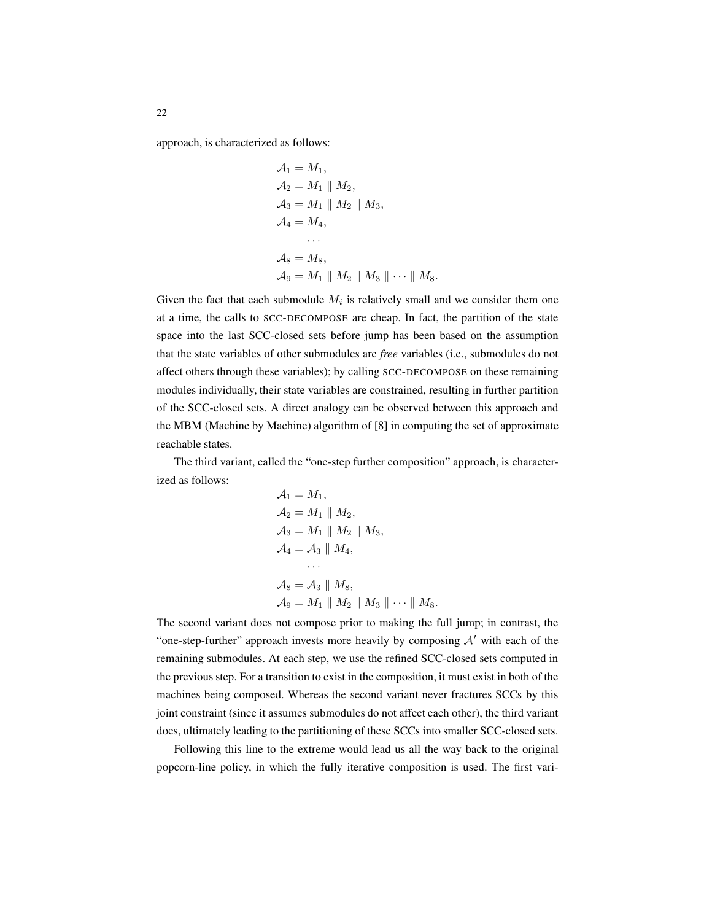approach, is characterized as follows:

$$
\mathcal{A}_1 = M_1,
$$
  
\n
$$
\mathcal{A}_2 = M_1 \parallel M_2,
$$
  
\n
$$
\mathcal{A}_3 = M_1 \parallel M_2 \parallel M_3,
$$
  
\n
$$
\mathcal{A}_4 = M_4,
$$
  
\n...  
\n
$$
\mathcal{A}_8 = M_8,
$$
  
\n
$$
\mathcal{A}_9 = M_1 \parallel M_2 \parallel M_3 \parallel \cdots \parallel M_8.
$$

Given the fact that each submodule  $M_i$  is relatively small and we consider them one at a time, the calls to SCC-DECOMPOSE are cheap. In fact, the partition of the state space into the last SCC-closed sets before jump has been based on the assumption that the state variables of other submodules are *free* variables (i.e., submodules do not affect others through these variables); by calling SCC-DECOMPOSE on these remaining modules individually, their state variables are constrained, resulting in further partition of the SCC-closed sets. A direct analogy can be observed between this approach and the MBM (Machine by Machine) algorithm of [8] in computing the set of approximate reachable states.

The third variant, called the "one-step further composition" approach, is characterized as follows:

$$
\begin{aligned}\n\mathcal{A}_1 &= M_1, \\
\mathcal{A}_2 &= M_1 \parallel M_2, \\
\mathcal{A}_3 &= M_1 \parallel M_2 \parallel M_3, \\
\mathcal{A}_4 &= \mathcal{A}_3 \parallel M_4, \\
&\dots \\
\mathcal{A}_8 &= \mathcal{A}_3 \parallel M_8, \\
\mathcal{A}_9 &= M_1 \parallel M_2 \parallel M_3 \parallel \dots \parallel M_8.\n\end{aligned}
$$

The second variant does not compose prior to making the full jump; in contrast, the "one-step-further" approach invests more heavily by composing  $A'$  with each of the remaining submodules. At each step, we use the refined SCC-closed sets computed in the previous step. For a transition to exist in the composition, it must exist in both of the machines being composed. Whereas the second variant never fractures SCCs by this joint constraint (since it assumes submodules do not affect each other), the third variant does, ultimately leading to the partitioning of these SCCs into smaller SCC-closed sets.

Following this line to the extreme would lead us all the way back to the original popcorn-line policy, in which the fully iterative composition is used. The first vari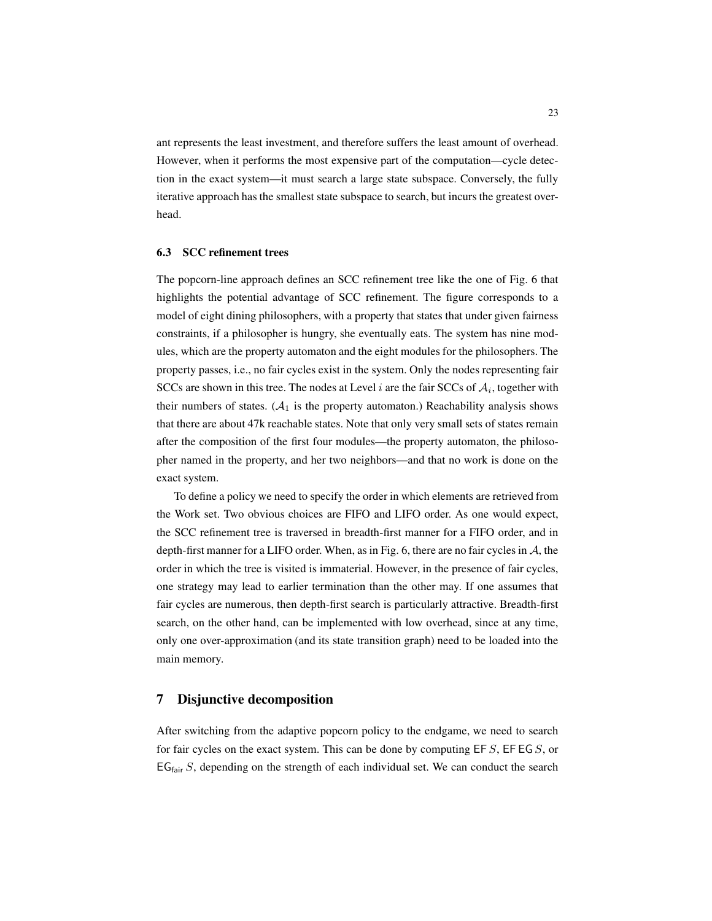ant represents the least investment, and therefore suffers the least amount of overhead. However, when it performs the most expensive part of the computation—cycle detection in the exact system—it must search a large state subspace. Conversely, the fully iterative approach has the smallest state subspace to search, but incurs the greatest overhead.

#### **6.3 SCC refinement trees**

The popcorn-line approach defines an SCC refinement tree like the one of Fig. 6 that highlights the potential advantage of SCC refinement. The figure corresponds to a model of eight dining philosophers, with a property that states that under given fairness constraints, if a philosopher is hungry, she eventually eats. The system has nine modules, which are the property automaton and the eight modules for the philosophers. The property passes, i.e., no fair cycles exist in the system. Only the nodes representing fair SCCs are shown in this tree. The nodes at Level  $i$  are the fair SCCs of  $A_i$ , together with their numbers of states.  $(A_1$  is the property automaton.) Reachability analysis shows that there are about 47k reachable states. Note that only very small sets of states remain after the composition of the first four modules—the property automaton, the philosopher named in the property, and her two neighbors—and that no work is done on the exact system.

To define a policy we need to specify the order in which elements are retrieved from the Work set. Two obvious choices are FIFO and LIFO order. As one would expect, the SCC refinement tree is traversed in breadth-first manner for a FIFO order, and in depth-first manner for a LIFO order. When, as in Fig. 6, there are no fair cycles in  $A$ , the order in which the tree is visited is immaterial. However, in the presence of fair cycles, one strategy may lead to earlier termination than the other may. If one assumes that fair cycles are numerous, then depth-first search is particularly attractive. Breadth-first search, on the other hand, can be implemented with low overhead, since at any time, only one over-approximation (and its state transition graph) need to be loaded into the main memory.

### **7 Disjunctive decomposition**

After switching from the adaptive popcorn policy to the endgame, we need to search for fair cycles on the exact system. This can be done by computing EF S, EF EG S, or  $EG<sub>fair</sub> S$ , depending on the strength of each individual set. We can conduct the search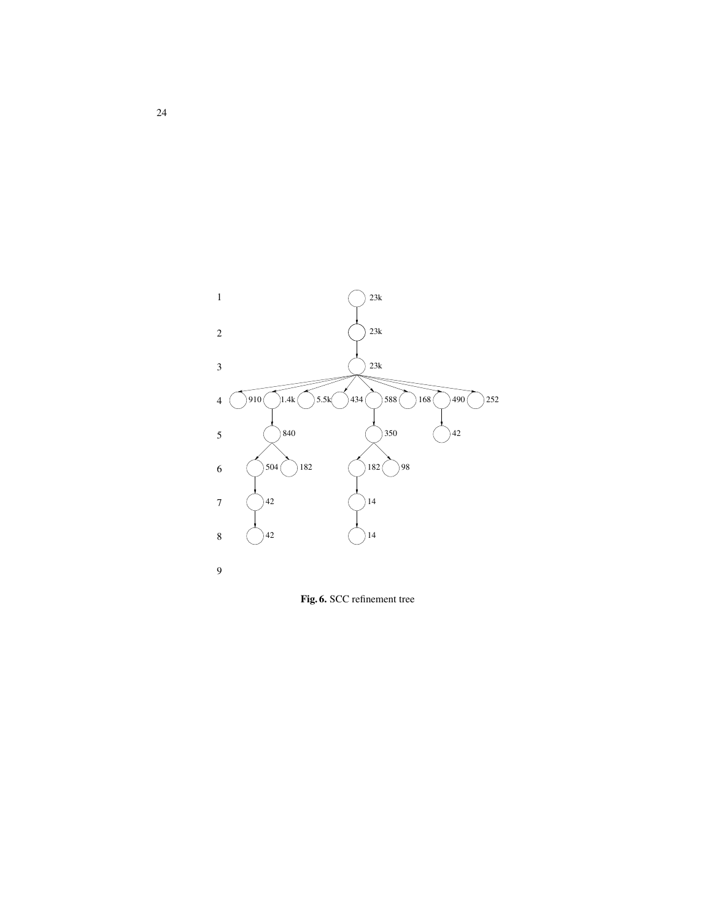

**Fig. 6.** SCC refinement tree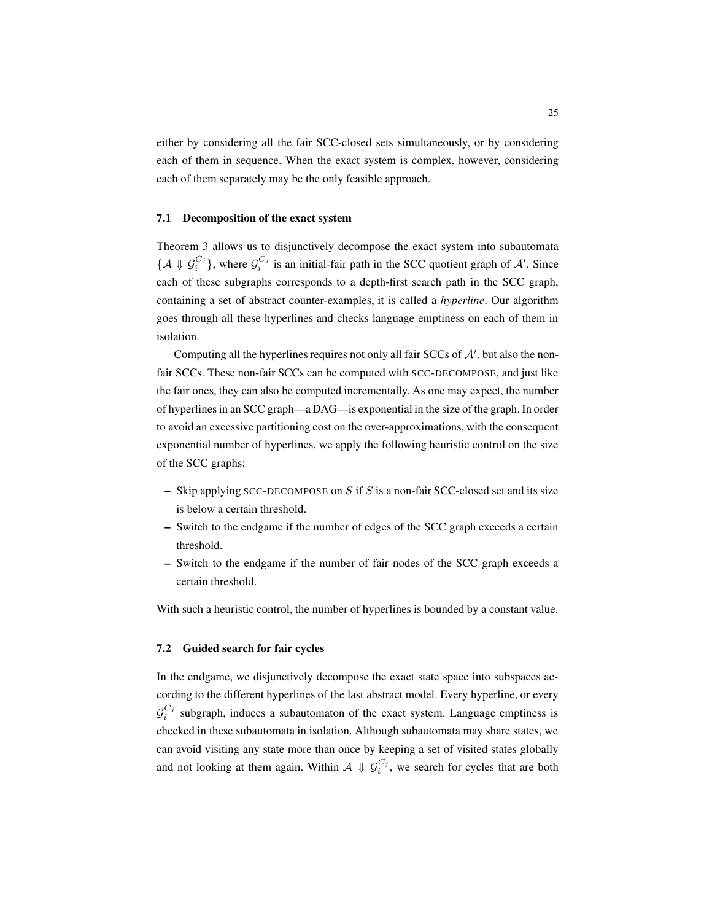either by considering all the fair SCC-closed sets simultaneously, or by considering each of them in sequence. When the exact system is complex, however, considering each of them separately may be the only feasible approach.

### **7.1 Decomposition of the exact system**

Theorem 3 allows us to disjunctively decompose the exact system into subautomata  $\{A \Downarrow G_i^{C_j}\}\$ , where  $G_i^{C_j}$  is an initial-fair path in the SCC quotient graph of A'. Since each of these subgraphs corresponds to a depth-first search path in the SCC graph, containing a set of abstract counter-examples, it is called a *hyperline*. Our algorithm goes through all these hyperlines and checks language emptiness on each of them in isolation.

Computing all the hyperlines requires not only all fair SCCs of  $A'$ , but also the nonfair SCCs. These non-fair SCCs can be computed with SCC-DECOMPOSE, and just like the fair ones, they can also be computed incrementally. As one may expect, the number of hyperlinesin an SCC graph—a DAG—is exponential in the size of the graph. In order to avoid an excessive partitioning cost on the over-approximations, with the consequent exponential number of hyperlines, we apply the following heuristic control on the size of the SCC graphs:

- **–** Skip applying SCC-DECOMPOSE on S if S is a non-fair SCC-closed set and its size is below a certain threshold.
- **–** Switch to the endgame if the number of edges of the SCC graph exceeds a certain threshold.
- **–** Switch to the endgame if the number of fair nodes of the SCC graph exceeds a certain threshold.

With such a heuristic control, the number of hyperlines is bounded by a constant value.

#### **7.2 Guided search for fair cycles**

In the endgame, we disjunctively decompose the exact state space into subspaces according to the different hyperlines of the last abstract model. Every hyperline, or every  $\mathcal{G}_i^{C_j}$  subgraph, induces a subautomaton of the exact system. Language emptiness is checked in these subautomata in isolation. Although subautomata may share states, we can avoid visiting any state more than once by keeping a set of visited states globally and not looking at them again. Within  $A \Downarrow \mathcal{G}_i^{C_j}$ , we search for cycles that are both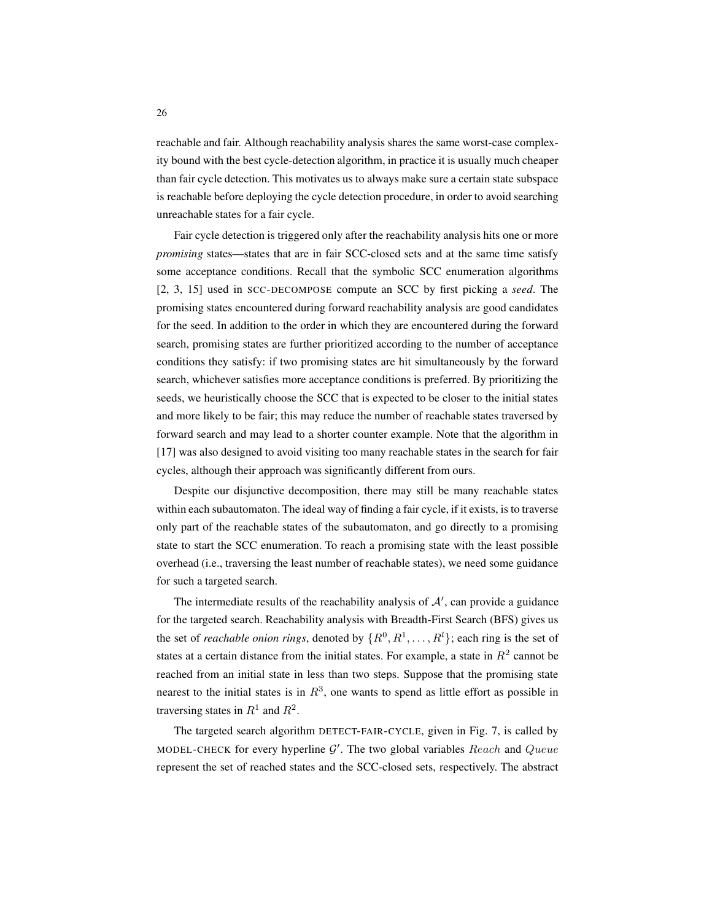reachable and fair. Although reachability analysis shares the same worst-case complexity bound with the best cycle-detection algorithm, in practice it is usually much cheaper than fair cycle detection. This motivates us to always make sure a certain state subspace is reachable before deploying the cycle detection procedure, in order to avoid searching unreachable states for a fair cycle.

Fair cycle detection is triggered only after the reachability analysis hits one or more *promising* states—states that are in fair SCC-closed sets and at the same time satisfy some acceptance conditions. Recall that the symbolic SCC enumeration algorithms [2, 3, 15] used in SCC-DECOMPOSE compute an SCC by first picking a *seed*. The promising states encountered during forward reachability analysis are good candidates for the seed. In addition to the order in which they are encountered during the forward search, promising states are further prioritized according to the number of acceptance conditions they satisfy: if two promising states are hit simultaneously by the forward search, whichever satisfies more acceptance conditions is preferred. By prioritizing the seeds, we heuristically choose the SCC that is expected to be closer to the initial states and more likely to be fair; this may reduce the number of reachable states traversed by forward search and may lead to a shorter counter example. Note that the algorithm in [17] was also designed to avoid visiting too many reachable states in the search for fair cycles, although their approach was significantly different from ours.

Despite our disjunctive decomposition, there may still be many reachable states within each subautomaton. The ideal way of finding a fair cycle, if it exists, is to traverse only part of the reachable states of the subautomaton, and go directly to a promising state to start the SCC enumeration. To reach a promising state with the least possible overhead (i.e., traversing the least number of reachable states), we need some guidance for such a targeted search.

The intermediate results of the reachability analysis of  $A'$ , can provide a guidance for the targeted search. Reachability analysis with Breadth-First Search (BFS) gives us the set of *reachable onion rings*, denoted by  $\{R^0, R^1, \ldots, R^l\}$ ; each ring is the set of states at a certain distance from the initial states. For example, a state in  $R<sup>2</sup>$  cannot be reached from an initial state in less than two steps. Suppose that the promising state nearest to the initial states is in  $R<sup>3</sup>$ , one wants to spend as little effort as possible in traversing states in  $R^1$  and  $R^2$ .

The targeted search algorithm DETECT-FAIR-CYCLE, given in Fig. 7, is called by MODEL-CHECK for every hyperline  $\mathcal{G}'$ . The two global variables  $Reach$  and  $Queue$ represent the set of reached states and the SCC-closed sets, respectively. The abstract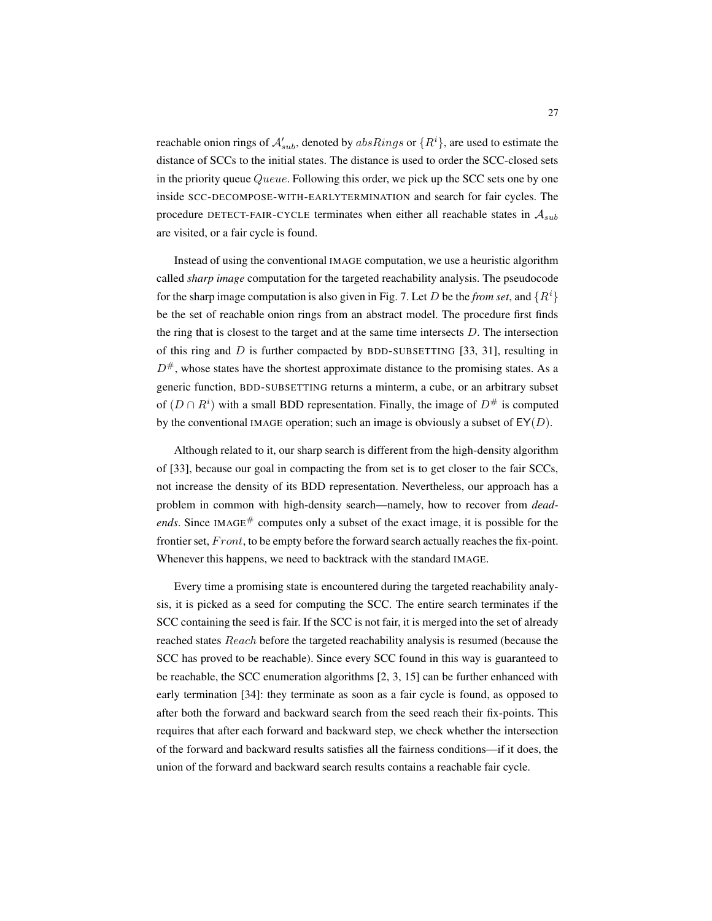reachable onion rings of  $\mathcal{A}'_{sub}$ , denoted by  $abs Rings$  or  $\{R^i\}$ , are used to estimate the distance of SCCs to the initial states. The distance is used to order the SCC-closed sets in the priority queue  $Queue$ . Following this order, we pick up the SCC sets one by one inside SCC-DECOMPOSE-WITH-EARLYTERMINATION and search for fair cycles. The procedure DETECT-FAIR-CYCLE terminates when either all reachable states in  $\mathcal{A}_{sub}$ are visited, or a fair cycle is found.

Instead of using the conventional IMAGE computation, we use a heuristic algorithm called *sharp image* computation for the targeted reachability analysis. The pseudocode for the sharp image computation is also given in Fig. 7. Let D be the *from set*, and  $\{R^i\}$ be the set of reachable onion rings from an abstract model. The procedure first finds the ring that is closest to the target and at the same time intersects  $D$ . The intersection of this ring and  $D$  is further compacted by BDD-SUBSETTING [33, 31], resulting in  $D^{\#}$ , whose states have the shortest approximate distance to the promising states. As a generic function, BDD-SUBSETTING returns a minterm, a cube, or an arbitrary subset of  $(D \cap R^i)$  with a small BDD representation. Finally, the image of  $D^{\#}$  is computed by the conventional IMAGE operation; such an image is obviously a subset of  $EY(D)$ .

Although related to it, our sharp search is different from the high-density algorithm of [33], because our goal in compacting the from set is to get closer to the fair SCCs, not increase the density of its BDD representation. Nevertheless, our approach has a problem in common with high-density search—namely, how to recover from *deadends*. Since IMAGE # computes only a subset of the exact image, it is possible for the frontier set,  $Front$ , to be empty before the forward search actually reaches the fix-point. Whenever this happens, we need to backtrack with the standard IMAGE.

Every time a promising state is encountered during the targeted reachability analysis, it is picked as a seed for computing the SCC. The entire search terminates if the SCC containing the seed is fair. If the SCC is not fair, it is merged into the set of already reached states Reach before the targeted reachability analysis is resumed (because the SCC has proved to be reachable). Since every SCC found in this way is guaranteed to be reachable, the SCC enumeration algorithms [2, 3, 15] can be further enhanced with early termination [34]: they terminate as soon as a fair cycle is found, as opposed to after both the forward and backward search from the seed reach their fix-points. This requires that after each forward and backward step, we check whether the intersection of the forward and backward results satisfies all the fairness conditions—if it does, the union of the forward and backward search results contains a reachable fair cycle.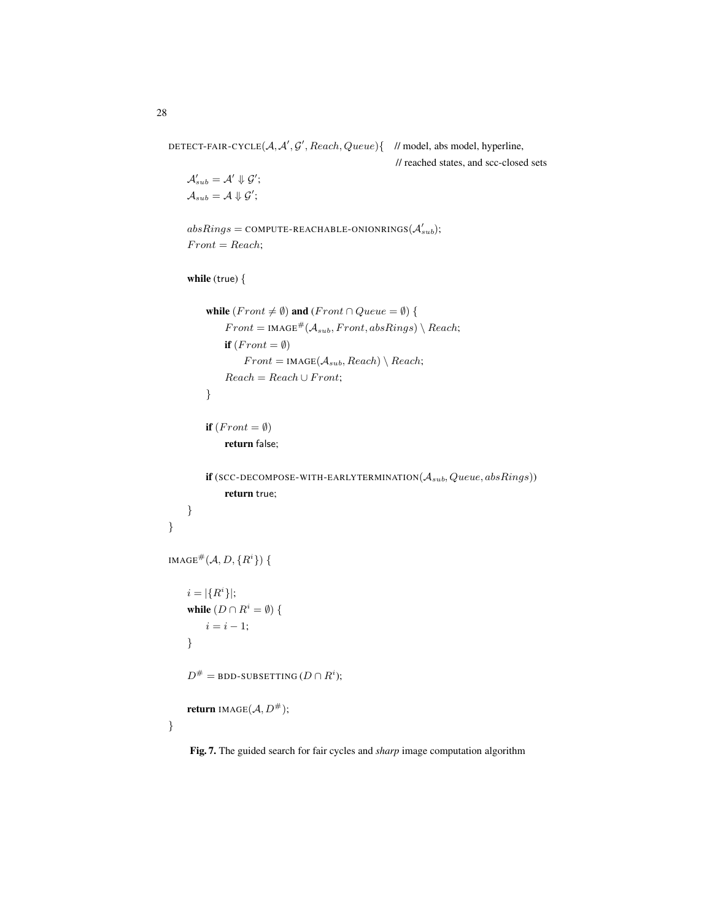DETECT-FAIR-CYCLE $(A, A', G', Reach, Queue)$ { // model, abs model, hyperline,

// reached states, and scc-closed sets

```
\mathcal{A}_{sub}' = \mathcal{A}' \Downarrow \mathcal{G}';A_{sub} = A \Downarrow \mathcal{G}';
```
 $abs Rings = \texttt{COMPUTE-REACHABLE-ONIONRINGS}(\mathcal{A}_{sub}');$  $Front = Reach;$ 

```
while (true) {
```

```
while (Front \neq \emptyset) and (Front \cap Queue = \emptyset) {
      Front = \text{IMAGE}^{\#}(\mathcal{A}_{sub}, Front,absRings) \setminus Recall;if (Front = \emptyset)Front = \text{IMAGE}(\mathcal{A}_{sub},Reach) \setminus Recall;Reach =Reach \cup Front;}
```

```
if (Front = \emptyset)return false;
```
**if** (SCC-DECOMPOSE-WITH-EARLYTERMINATION( $A_{sub}$ , Queue, absRings)) **return** true;

```
}
}
```
 $\text{IMAGE}^{\#}(\mathcal{A}, D, \{R^i\})$  {

```
i = |\{R^i\}|;while (D \cap R^i = \emptyset) {
     i = i - 1;}
```
 $D^{\#} = \texttt{BDD-SUBSETTING}\left(D \cap R^{i}\right);$ 

**return**  $IMAGE(\mathcal{A}, D^{\#});$ 

```
}
```
**Fig. 7.** The guided search for fair cycles and *sharp* image computation algorithm

28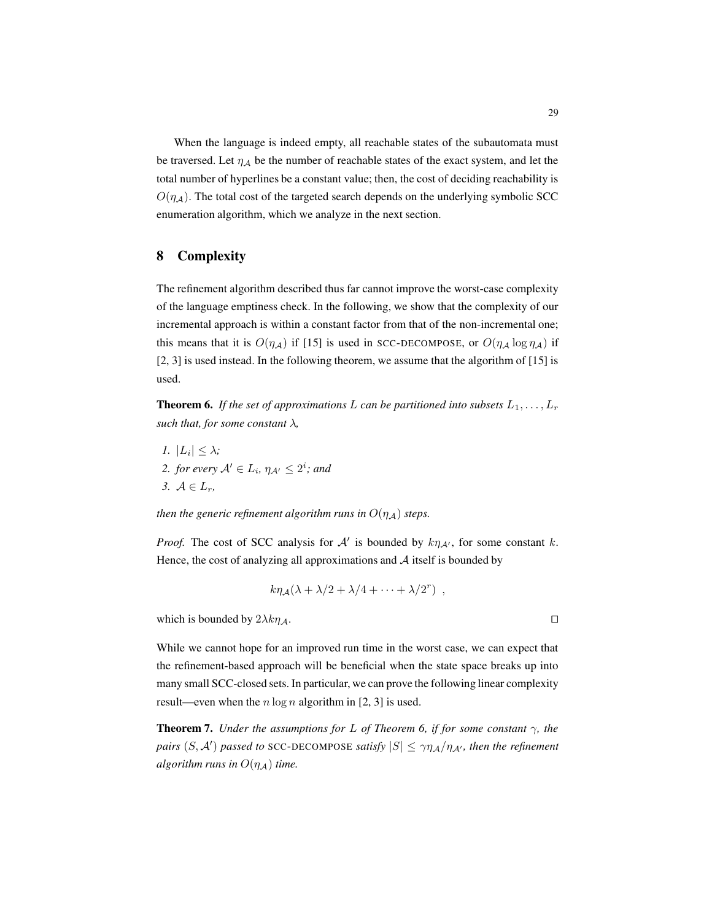When the language is indeed empty, all reachable states of the subautomata must be traversed. Let  $\eta_A$  be the number of reachable states of the exact system, and let the total number of hyperlines be a constant value; then, the cost of deciding reachability is  $O(\eta_A)$ . The total cost of the targeted search depends on the underlying symbolic SCC enumeration algorithm, which we analyze in the next section.

# **8 Complexity**

The refinement algorithm described thus far cannot improve the worst-case complexity of the language emptiness check. In the following, we show that the complexity of our incremental approach is within a constant factor from that of the non-incremental one; this means that it is  $O(\eta_A)$  if [15] is used in SCC-DECOMPOSE, or  $O(\eta_A \log \eta_A)$  if [2, 3] is used instead. In the following theorem, we assume that the algorithm of [15] is used.

**Theorem 6.** If the set of approximations L can be partitioned into subsets  $L_1, \ldots, L_r$ *such that, for some constant*  $\lambda$ *,* 

*1.*  $|L_i| \leq \lambda$ ; 2. *for every*  $A' \in L_i$ ,  $\eta_{A'} \leq 2^i$ ; and *3.*  $A \in L_r$ ,

*then the generic refinement algorithm runs in*  $O(\eta_A)$  *steps.* 

*Proof.* The cost of SCC analysis for  $A'$  is bounded by  $k\eta_{A'}$ , for some constant k. Hence, the cost of analyzing all approximations and  $A$  itself is bounded by

$$
k\eta_{\mathcal{A}}(\lambda + \lambda/2 + \lambda/4 + \cdots + \lambda/2^r) ,
$$

which is bounded by  $2\lambda k \eta_A$ .

While we cannot hope for an improved run time in the worst case, we can expect that the refinement-based approach will be beneficial when the state space breaks up into many small SCC-closed sets. In particular, we can prove the following linear complexity result—even when the  $n \log n$  algorithm in [2, 3] is used.

**Theorem 7.** *Under the assumptions for* L *of Theorem 6, if for some constant* γ*, the pairs*  $(S, \mathcal{A}')$  *passed to* SCC-DECOMPOSE *satisfy*  $|S| \leq \gamma \eta_{\mathcal{A}} / \eta_{\mathcal{A}'}$ *, then the refinement algorithm runs in*  $O(\eta_A)$  *time.*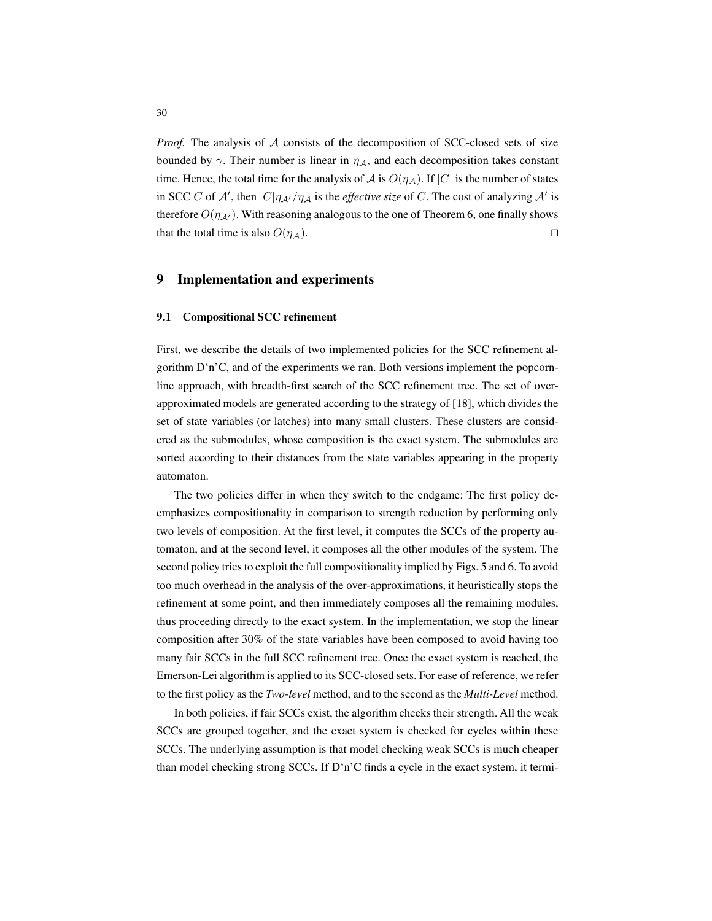*Proof.* The analysis of  $A$  consists of the decomposition of SCC-closed sets of size bounded by  $\gamma$ . Their number is linear in  $\eta_A$ , and each decomposition takes constant time. Hence, the total time for the analysis of A is  $O(\eta_A)$ . If  $|C|$  is the number of states in SCC C of A', then  $|C|\eta_{A'}/\eta_A$  is the *effective size* of C. The cost of analyzing A' is therefore  $O(\eta_{A'})$ . With reasoning analogous to the one of Theorem 6, one finally shows that the total time is also  $O(\eta_A)$ .

### **9 Implementation and experiments**

#### **9.1 Compositional SCC refinement**

First, we describe the details of two implemented policies for the SCC refinement algorithm D'n'C, and of the experiments we ran. Both versions implement the popcornline approach, with breadth-first search of the SCC refinement tree. The set of overapproximated models are generated according to the strategy of [18], which divides the set of state variables (or latches) into many small clusters. These clusters are considered as the submodules, whose composition is the exact system. The submodules are sorted according to their distances from the state variables appearing in the property automaton.

The two policies differ in when they switch to the endgame: The first policy deemphasizes compositionality in comparison to strength reduction by performing only two levels of composition. At the first level, it computes the SCCs of the property automaton, and at the second level, it composes all the other modules of the system. The second policy tries to exploit the full compositionality implied by Figs. 5 and 6. To avoid too much overhead in the analysis of the over-approximations, it heuristically stops the refinement at some point, and then immediately composes all the remaining modules, thus proceeding directly to the exact system. In the implementation, we stop the linear composition after 30% of the state variables have been composed to avoid having too many fair SCCs in the full SCC refinement tree. Once the exact system is reached, the Emerson-Lei algorithm is applied to its SCC-closed sets. For ease of reference, we refer to the first policy as the *Two-level* method, and to the second as the *Multi-Level* method.

In both policies, if fair SCCs exist, the algorithm checks their strength. All the weak SCCs are grouped together, and the exact system is checked for cycles within these SCCs. The underlying assumption is that model checking weak SCCs is much cheaper than model checking strong SCCs. If D'n'C finds a cycle in the exact system, it termi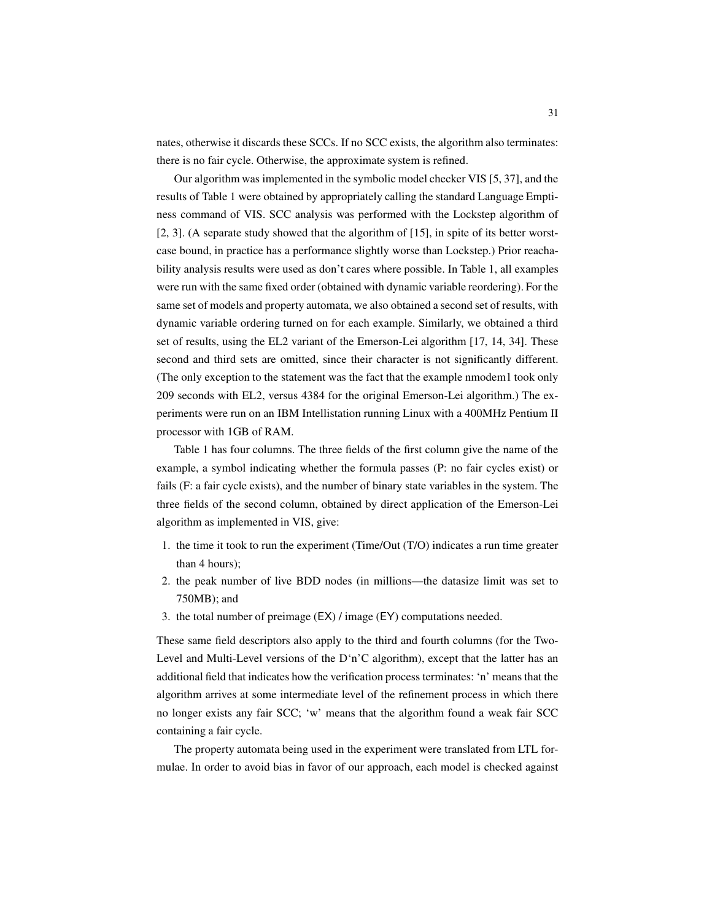nates, otherwise it discards these SCCs. If no SCC exists, the algorithm also terminates: there is no fair cycle. Otherwise, the approximate system is refined.

Our algorithm was implemented in the symbolic model checker VIS [5, 37], and the results of Table 1 were obtained by appropriately calling the standard Language Emptiness command of VIS. SCC analysis was performed with the Lockstep algorithm of [2, 3]. (A separate study showed that the algorithm of [15], in spite of its better worstcase bound, in practice has a performance slightly worse than Lockstep.) Prior reachability analysis results were used as don't cares where possible. In Table 1, all examples were run with the same fixed order (obtained with dynamic variable reordering). For the same set of models and property automata, we also obtained a second set of results, with dynamic variable ordering turned on for each example. Similarly, we obtained a third set of results, using the EL2 variant of the Emerson-Lei algorithm [17, 14, 34]. These second and third sets are omitted, since their character is not significantly different. (The only exception to the statement was the fact that the example nmodem1 took only 209 seconds with EL2, versus 4384 for the original Emerson-Lei algorithm.) The experiments were run on an IBM Intellistation running Linux with a 400MHz Pentium II processor with 1GB of RAM.

Table 1 has four columns. The three fields of the first column give the name of the example, a symbol indicating whether the formula passes (P: no fair cycles exist) or fails (F: a fair cycle exists), and the number of binary state variables in the system. The three fields of the second column, obtained by direct application of the Emerson-Lei algorithm as implemented in VIS, give:

- 1. the time it took to run the experiment (Time/Out (T/O) indicates a run time greater than 4 hours);
- 2. the peak number of live BDD nodes (in millions—the datasize limit was set to 750MB); and
- 3. the total number of preimage (EX) / image (EY) computations needed.

These same field descriptors also apply to the third and fourth columns (for the Two-Level and Multi-Level versions of the D'n'C algorithm), except that the latter has an additional field that indicates how the verification process terminates: 'n' means that the algorithm arrives at some intermediate level of the refinement process in which there no longer exists any fair SCC; 'w' means that the algorithm found a weak fair SCC containing a fair cycle.

The property automata being used in the experiment were translated from LTL formulae. In order to avoid bias in favor of our approach, each model is checked against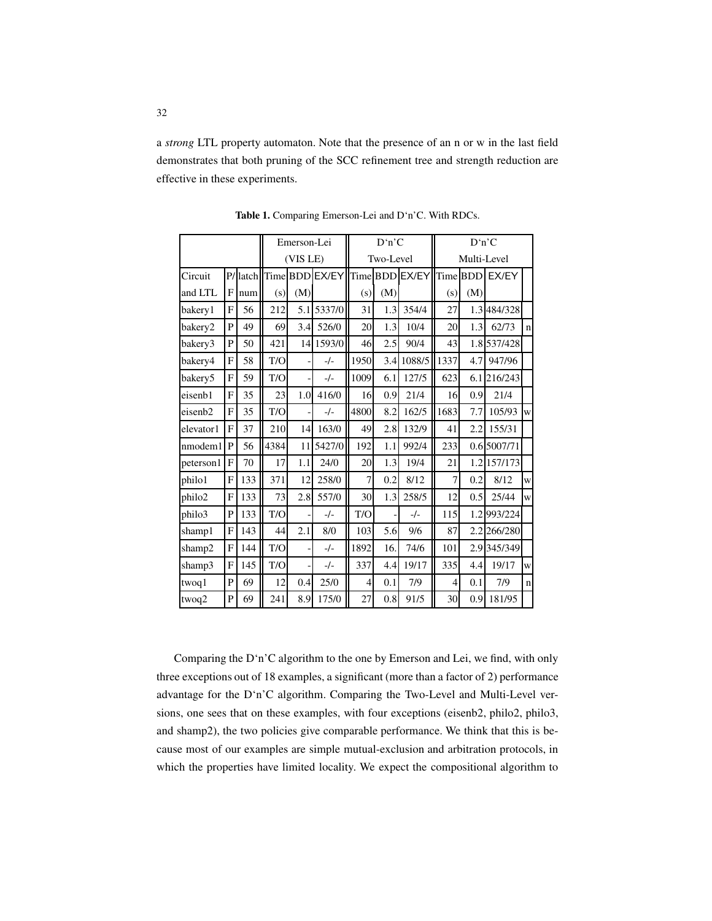a *strong* LTL property automaton. Note that the presence of an n or w in the last field demonstrates that both pruning of the SCC refinement tree and strength reduction are effective in these experiments.

|                     |                |         | Emerson-Lei |     |                  |           | D <sup>1</sup> C |                  | $D'n$ <sup><math>C</math></sup> |            |             |             |  |
|---------------------|----------------|---------|-------------|-----|------------------|-----------|------------------|------------------|---------------------------------|------------|-------------|-------------|--|
|                     |                | (VISLE) |             |     |                  | Two-Level |                  | Multi-Level      |                                 |            |             |             |  |
| Circuit             |                | P/latch | Time        |     | <b>BDD EX/EY</b> | Time      |                  | <b>BDD EX/EY</b> | Time                            | <b>BDD</b> | EX/EY       |             |  |
| and LTL             | F              | num     | (s)         | (M) |                  | (s)       | (M)              |                  | (s)                             | (M)        |             |             |  |
| bakery1             | F              | 56      | 212         |     | 5.1 5337/0       | 31        | 1.3              | 354/4            | 27                              |            | 1.3 484/328 |             |  |
| bakery2             | P              | 49      | 69          | 3.4 | 526/0            | 20        | 1.3              | 10/4             | 20                              | 1.3        | 62/73       | $\mathbf n$ |  |
| bakery3             | P              | 50      | 421         | 14  | 1593/0           | 46        | 2.5              | 90/4             | 43                              |            | 1.8 537/428 |             |  |
| bakery4             | $\overline{F}$ | 58      | T/O         |     | $-/-$            | 1950      | 3.4              | 1088/5           | 1337                            | 4.7        | 947/96      |             |  |
| bakery5             | F              | 59      | T/O         |     | $-/-$            | 1009      | 6.1              | 127/5            | 623                             |            | 6.1 216/243 |             |  |
| eisenb1             | F              | 35      | 23          | 1.0 | 416/0            | 16        | 0.9              | 21/4             | 16                              | 0.9        | 21/4        |             |  |
| eisenb <sub>2</sub> | $\overline{F}$ | 35      | T/O         |     | $-/-$            | 4800      | 8.2              | 162/5            | 1683                            | 7.7        | 105/93      | W           |  |
| elevator1           | F              | 37      | 210         | 14  | 163/0            | 49        | 2.8              | 132/9            | 41                              | 2.2        | 155/31      |             |  |
| nmodem1             | P              | 56      | 4384        | 11  | 5427/0           | 192       | 1.1              | 992/4            | 233                             |            | 0.6 5007/71 |             |  |
| peterson1           | F              | 70      | 17          | 1.1 | 24/0             | 20        | 1.3              | 19/4             | 21                              | 1.2        | 157/173     |             |  |
| philo1              | F              | 133     | 371         | 12  | 258/0            | 7         | 0.2              | 8/12             | 7                               | 0.2        | 8/12        | W           |  |
| philo2              | F              | 133     | 73          | 2.8 | 557/0            | 30        | 1.3              | 258/5            | 12                              | 0.5        | 25/44       | W           |  |
| philo3              | P              | 133     | T/O         |     | $-/-$            | T/O       |                  | $-/-$            | 115                             |            | 1.2 993/224 |             |  |
| shamp1              | F              | 143     | 44          | 2.1 | 8/0              | 103       | 5.6              | 9/6              | 87                              |            | 2.2 266/280 |             |  |
| shamp2              | F              | 144     | T/O         |     | $-/-$            | 1892      | 16.              | 74/6             | 101                             |            | 2.9 345/349 |             |  |
| shamp3              | $\mathbf{F}$   | 145     | T/O         |     | $-/-$            | 337       | 4.4              | 19/17            | 335                             | 4.4        | 19/17       | W           |  |
| twoq1               | P              | 69      | 12          | 0.4 | 25/0             | 4         | 0.1              | 7/9              | 4                               | 0.1        | 7/9         | $\mathbf n$ |  |
| twoq2               | P              | 69      | 241         | 8.9 | 175/0            | 27        | 0.8              | 91/5             | 30                              | 0.9        | 181/95      |             |  |

**Table 1.** Comparing Emerson-Lei and D'n'C. With RDCs.

Comparing the D'n'C algorithm to the one by Emerson and Lei, we find, with only three exceptions out of 18 examples, a significant (more than a factor of 2) performance advantage for the D'n'C algorithm. Comparing the Two-Level and Multi-Level versions, one sees that on these examples, with four exceptions (eisenb2, philo2, philo3, and shamp2), the two policies give comparable performance. We think that this is because most of our examples are simple mutual-exclusion and arbitration protocols, in which the properties have limited locality. We expect the compositional algorithm to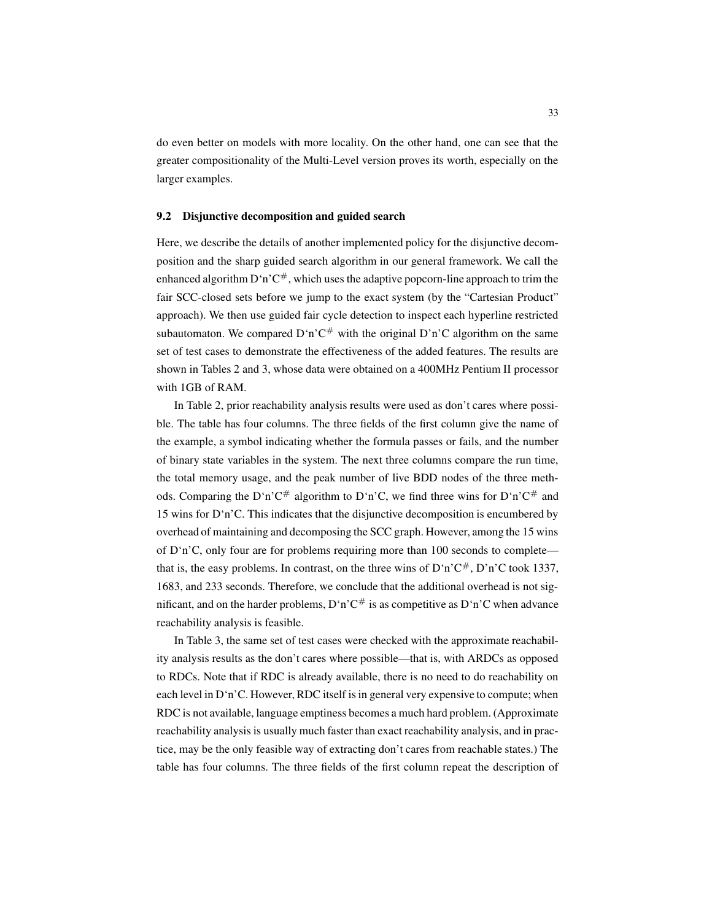do even better on models with more locality. On the other hand, one can see that the greater compositionality of the Multi-Level version proves its worth, especially on the larger examples.

#### **9.2 Disjunctive decomposition and guided search**

Here, we describe the details of another implemented policy for the disjunctive decomposition and the sharp guided search algorithm in our general framework. We call the enhanced algorithm  $D<sup>+</sup>n<sup>+</sup>C<sup>#</sup>$ , which uses the adaptive popcorn-line approach to trim the fair SCC-closed sets before we jump to the exact system (by the "Cartesian Product" approach). We then use guided fair cycle detection to inspect each hyperline restricted subautomaton. We compared  $D<sup>+</sup>n<sup>+</sup>C<sup>#</sup>$  with the original  $D<sup>+</sup>n<sup>+</sup>C$  algorithm on the same set of test cases to demonstrate the effectiveness of the added features. The results are shown in Tables 2 and 3, whose data were obtained on a 400MHz Pentium II processor with 1GB of RAM.

In Table 2, prior reachability analysis results were used as don't cares where possible. The table has four columns. The three fields of the first column give the name of the example, a symbol indicating whether the formula passes or fails, and the number of binary state variables in the system. The next three columns compare the run time, the total memory usage, and the peak number of live BDD nodes of the three methods. Comparing the D'n'C<sup>#</sup> algorithm to D'n'C, we find three wins for D'n'C<sup>#</sup> and 15 wins for D'n'C. This indicates that the disjunctive decomposition is encumbered by overhead of maintaining and decomposing the SCC graph. However, among the 15 wins of D'n'C, only four are for problems requiring more than 100 seconds to complete that is, the easy problems. In contrast, on the three wins of  $D^nC^{\#}$ ,  $D^nC$  took 1337, 1683, and 233 seconds. Therefore, we conclude that the additional overhead is not significant, and on the harder problems,  $D<sup>+</sup>n<sup>+</sup>C<sup>#</sup>$  is as competitive as  $D<sup>+</sup>n<sup>+</sup>C$  when advance reachability analysis is feasible.

In Table 3, the same set of test cases were checked with the approximate reachability analysis results as the don't cares where possible—that is, with ARDCs as opposed to RDCs. Note that if RDC is already available, there is no need to do reachability on each level in D'n'C. However, RDC itself is in general very expensive to compute; when RDC is not available, language emptiness becomes a much hard problem. (Approximate reachability analysis is usually much faster than exact reachability analysis, and in practice, may be the only feasible way of extracting don't cares from reachable states.) The table has four columns. The three fields of the first column repeat the description of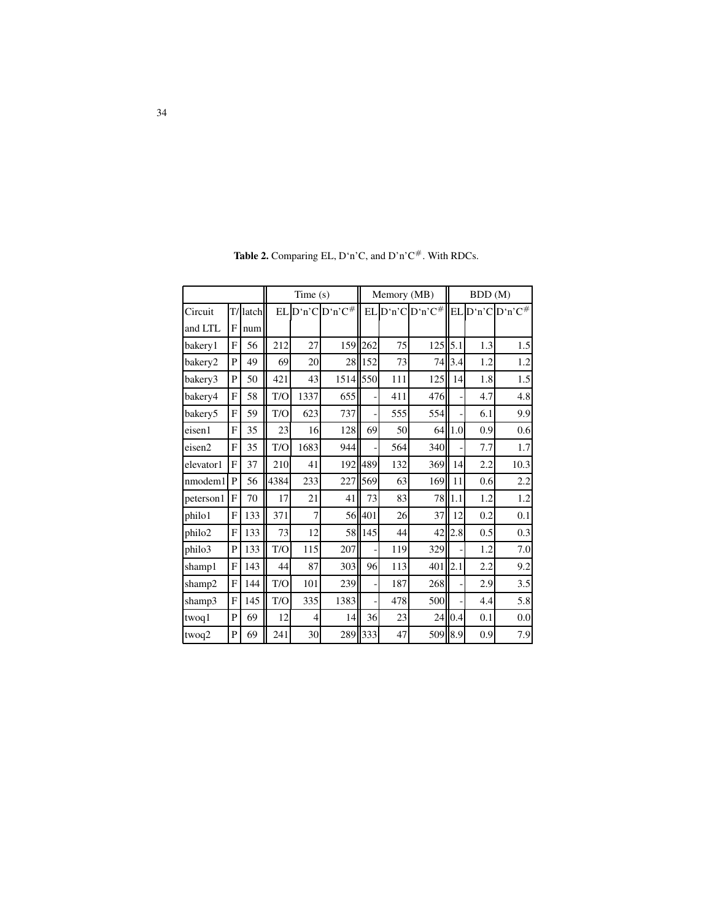|           |   |         | Time(s) |                |                  |     | Memory (MB) |                  | BDD (M) |     |                 |
|-----------|---|---------|---------|----------------|------------------|-----|-------------|------------------|---------|-----|-----------------|
| Circuit   |   | T/latch |         |                | EL D'n'C D'n'C'' |     |             | EL D'n'C D'n'C'' |         |     | EL D'n'C D'n'C# |
| and LTL   | F | num     |         |                |                  |     |             |                  |         |     |                 |
| bakery1   | F | 56      | 212     | 27             | 159              | 262 | 75          | 125              | 5.1     | 1.3 | 1.5             |
| bakery2   | P | 49      | 69      | 20             | 28               | 152 | 73          | 74               | 3.4     | 1.2 | 1.2             |
| bakery3   | P | 50      | 421     | 43             | 1514             | 550 | 111         | 125              | 14      | 1.8 | 1.5             |
| bakery4   | F | 58      | T/O     | 1337           | 655              |     | 411         | 476              |         | 4.7 | 4.8             |
| bakery5   | F | 59      | T/O     | 623            | 737              |     | 555         | 554              |         | 6.1 | 9.9             |
| eisen1    | F | 35      | 23      | 16             | 128              | 69  | 50          | 64               | 1.0     | 0.9 | 0.6             |
| eisen2    | F | 35      | T/O     | 1683           | 944              |     | 564         | 340              |         | 7.7 | 1.7             |
| elevator1 | F | 37      | 210     | 41             | 192              | 489 | 132         | 369              | 14      | 2.2 | 10.3            |
| nmodem1   | P | 56      | 4384    | 233            | 227              | 569 | 63          | 169              | 11      | 0.6 | 2.2             |
| peterson1 | F | 70      | 17      | 21             | 41               | 73  | 83          | 78               | 1.1     | 1.2 | 1.2             |
| philo1    | F | 133     | 371     | $\overline{7}$ | 56               | 401 | 26          | 37               | 12      | 0.2 | 0.1             |
| philo2    | F | 133     | 73      | 12             | 58               | 145 | 44          | 42               | 2.8     | 0.5 | 0.3             |
| philo3    | P | 133     | T/O     | 115            | 207              |     | 119         | 329              |         | 1.2 | 7.0             |
| shamp1    | F | 143     | 44      | 87             | 303              | 96  | 113         | 401              | 2.1     | 2.2 | 9.2             |
| shamp2    | F | 144     | T/O     | 101            | 239              |     | 187         | 268              |         | 2.9 | 3.5             |
| shamp3    | F | 145     | T/O     | 335            | 1383             |     | 478         | 500              |         | 4.4 | 5.8             |
| twog1     | P | 69      | 12      | $\overline{4}$ | 14               | 36  | 23          | 24               | 0.4     | 0.1 | 0.0             |
| twoq2     | P | 69      | 241     | 30             | 289              | 333 | 47          | 509              | 8.9     | 0.9 | 7.9             |

**Table 2.** Comparing EL, D'n'C, and D'n'C#. With RDCs.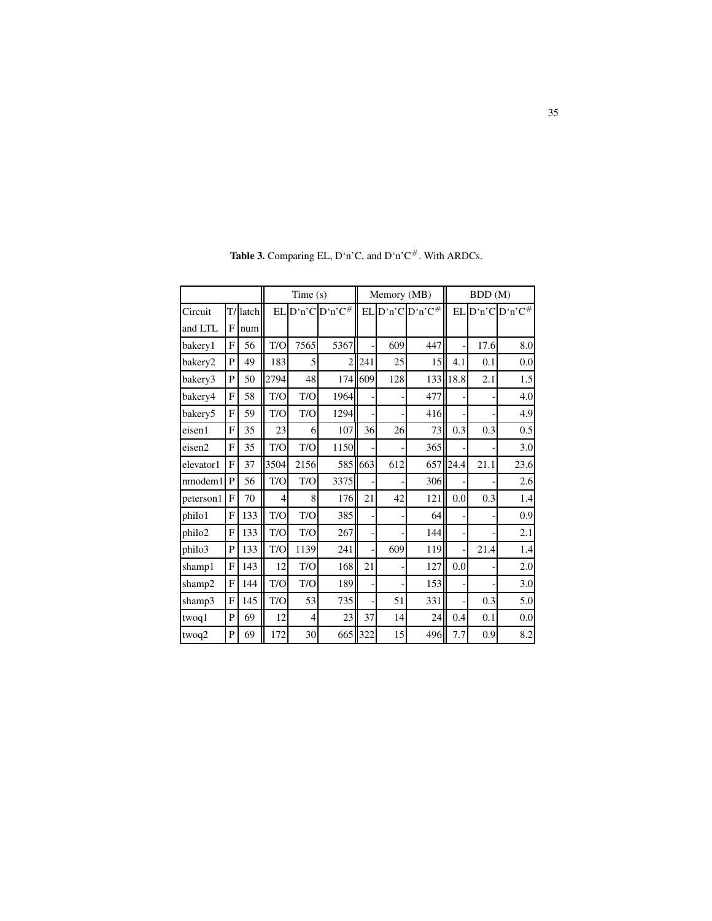|           |              |       | Time(s)        |      |                 |     | Memory (MB) |               | BDD (M) |      |               |
|-----------|--------------|-------|----------------|------|-----------------|-----|-------------|---------------|---------|------|---------------|
| Circuit   | T/           | latch |                |      | EL D'n'C D'n'C# |     |             | ELD'n'CD'n'C# | EL      |      | D'n'C D'n'C'' |
| and LTL   | F            | num   |                |      |                 |     |             |               |         |      |               |
| bakery1   | F            | 56    | T/O            | 7565 | 5367            |     | 609         | 447           |         | 17.6 | 8.0           |
| bakery2   | P            | 49    | 183            | 5    | 2               | 241 | 25          | 15            | 4.1     | 0.1  | 0.0           |
| bakery3   | P            | 50    | 2794           | 48   | 174             | 609 | 128         | 133           | 18.8    | 2.1  | 1.5           |
| bakery4   | F            | 58    | T/O            | T/O  | 1964            |     |             | 477           |         |      | 4.0           |
| bakery5   | F            | 59    | T/O            | T/O  | 1294            |     |             | 416           |         |      | 4.9           |
| eisen1    | F            | 35    | 23             | 6    | 107             | 36  | 26          | 73            | 0.3     | 0.3  | 0.5           |
| eisen2    | $\mathbf{F}$ | 35    | T/O            | T/O  | 1150            |     |             | 365           |         |      | 3.0           |
| elevator1 | F            | 37    | 3504           | 2156 | 585             | 663 | 612         | 657           | 24.4    | 21.1 | 23.6          |
| nmodem1   | P            | 56    | T/O            | T/O  | 3375            |     |             | 306           |         |      | 2.6           |
| peterson1 | $\mathbf{F}$ | 70    | $\overline{4}$ | 8    | 176             | 21  | 42          | 121           | 0.0     | 0.3  | 1.4           |
| philo1    | $\mathbf{F}$ | 133   | T/O            | T/O  | 385             |     |             | 64            |         |      | 0.9           |
| philo2    | $\mathbf{F}$ | 133   | T/O            | T/O  | 267             |     |             | 144           |         |      | 2.1           |
| philo3    | P            | 133   | T/O            | 1139 | 241             |     | 609         | 119           |         | 21.4 | 1.4           |
| shamp1    | F            | 143   | 12             | T/O  | 168             | 21  |             | 127           | 0.0     |      | 2.0           |
| shamp2    | F            | 144   | T/O            | T/O  | 189             |     |             | 153           |         |      | 3.0           |
| shamp3    | $\mathbf{F}$ | 145   | T/O            | 53   | 735             |     | 51          | 331           |         | 0.3  | 5.0           |
| twog1     | P            | 69    | 12             | 4    | 23              | 37  | 14          | 24            | 0.4     | 0.1  | 0.0           |
| twoq2     | P            | 69    | 172            | 30   | 665             | 322 | 15          | 496           | 7.7     | 0.9  | 8.2           |

Table 3. Comparing EL, D'n'C, and D'n'C<sup>#</sup>. With ARDCs.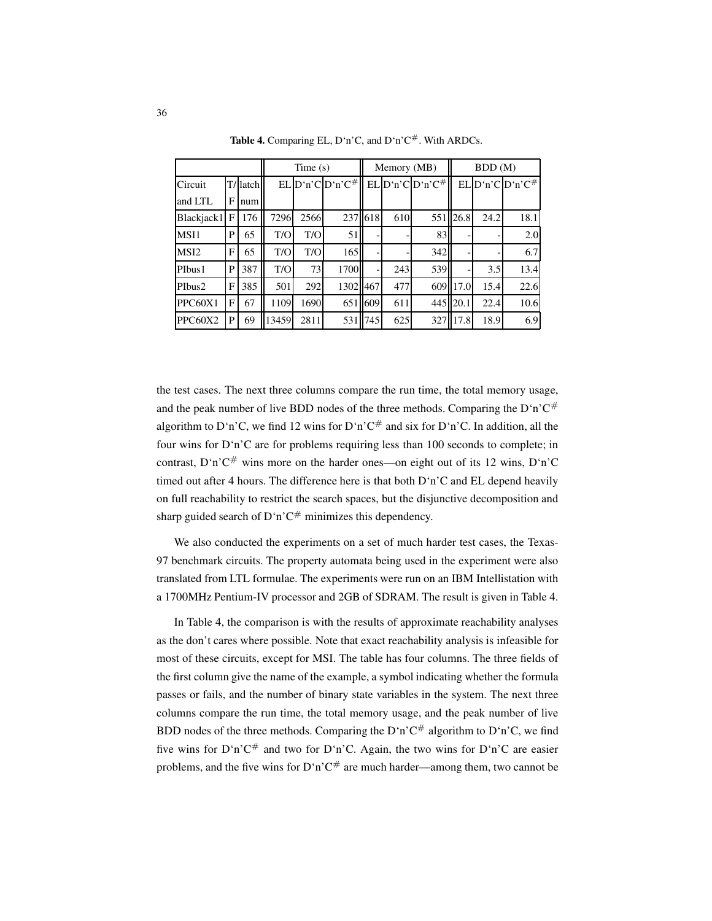|                  |   |         | Time(s) |      |                  |                   | Memory (MB) |                  | BDD(M)   |      |                  |
|------------------|---|---------|---------|------|------------------|-------------------|-------------|------------------|----------|------|------------------|
| Circuit          |   | T/latch |         |      | EL D'n'C D'n'C'' |                   |             | EL D'n'C D'n'C'' |          |      | EL D'n'C D'n'C'' |
| and LTL          | F | num     |         |      |                  |                   |             |                  |          |      |                  |
| Blackjack1       | F | 176     | 7296    | 2566 |                  | 237 618           | 610         |                  | 551 26.8 | 24.2 | 18.1             |
| MSI1             | P | 65      | T/O     | T/O  | 51               |                   |             | 83               |          |      | 2.0              |
| MSI <sub>2</sub> | F | 65      | T/O     | T/O  | 165              |                   |             | 342              |          |      | 6.7              |
| PIbus1           | P | 387     | T/O     | 73   | 1700             | -                 | 243         | 539              |          | 3.5  | 13.4             |
| PIbus2           | F | 385     | 501     | 292  | 1302 467         |                   | 477         |                  | 609 17.0 | 15.4 | 22.6             |
| <b>PPC60X1</b>   | F | 67      | 1109    | 1690 | 651              | 609               | 611         |                  | 445 20.1 | 22.4 | 10.6             |
| PPC60X2          | P | 69      | 13459   | 2811 | 531              | $\overline{1745}$ | 625         |                  | 327 17.8 | 18.9 | 6.9              |

Table 4. Comparing EL, D'n'C, and D'n'C<sup>#</sup>. With ARDCs.

the test cases. The next three columns compare the run time, the total memory usage, and the peak number of live BDD nodes of the three methods. Comparing the D'n'C<sup>#</sup> algorithm to D'n'C, we find 12 wins for D'n'C<sup>#</sup> and six for D'n'C. In addition, all the four wins for D'n'C are for problems requiring less than 100 seconds to complete; in contrast,  $D<sup>+</sup>n<sup>+</sup>C<sup>#</sup>$  wins more on the harder ones—on eight out of its 12 wins,  $D<sup>+</sup>n<sup>+</sup>C<sup>#</sup>$ timed out after 4 hours. The difference here is that both D'n'C and EL depend heavily on full reachability to restrict the search spaces, but the disjunctive decomposition and sharp guided search of  $D<sup>4</sup>$  minimizes this dependency.

We also conducted the experiments on a set of much harder test cases, the Texas-97 benchmark circuits. The property automata being used in the experiment were also translated from LTL formulae. The experiments were run on an IBM Intellistation with a 1700MHz Pentium-IV processor and 2GB of SDRAM. The result is given in Table 4.

In Table 4, the comparison is with the results of approximate reachability analyses as the don't cares where possible. Note that exact reachability analysis is infeasible for most of these circuits, except for MSI. The table has four columns. The three fields of the first column give the name of the example, a symbol indicating whether the formula passes or fails, and the number of binary state variables in the system. The next three columns compare the run time, the total memory usage, and the peak number of live BDD nodes of the three methods. Comparing the D'n'C<sup>#</sup> algorithm to D'n'C, we find five wins for  $D^{\prime}n^{\prime}C^{\#}$  and two for  $D^{\prime}n^{\prime}C$ . Again, the two wins for  $D^{\prime}n^{\prime}C$  are easier problems, and the five wins for  $D<sup>+</sup>n<sup>+</sup>C<sup>#</sup>$  are much harder—among them, two cannot be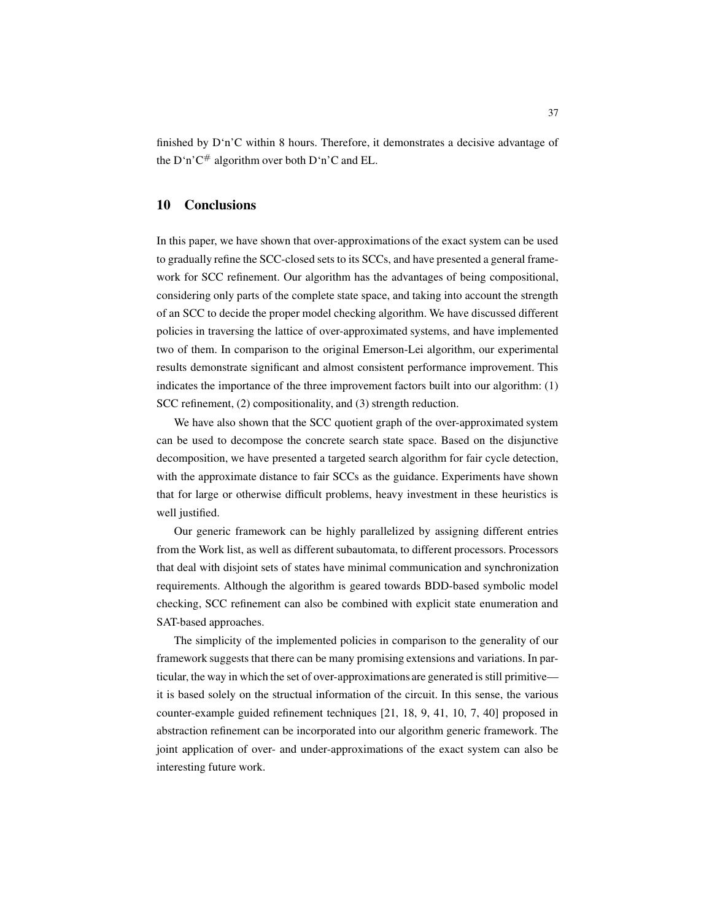finished by D'n'C within 8 hours. Therefore, it demonstrates a decisive advantage of the D'n'C<sup>#</sup> algorithm over both D'n'C and EL.

# **10 Conclusions**

In this paper, we have shown that over-approximations of the exact system can be used to gradually refine the SCC-closed sets to its SCCs, and have presented a general framework for SCC refinement. Our algorithm has the advantages of being compositional, considering only parts of the complete state space, and taking into account the strength of an SCC to decide the proper model checking algorithm. We have discussed different policies in traversing the lattice of over-approximated systems, and have implemented two of them. In comparison to the original Emerson-Lei algorithm, our experimental results demonstrate significant and almost consistent performance improvement. This indicates the importance of the three improvement factors built into our algorithm: (1) SCC refinement, (2) compositionality, and (3) strength reduction.

We have also shown that the SCC quotient graph of the over-approximated system can be used to decompose the concrete search state space. Based on the disjunctive decomposition, we have presented a targeted search algorithm for fair cycle detection, with the approximate distance to fair SCCs as the guidance. Experiments have shown that for large or otherwise difficult problems, heavy investment in these heuristics is well justified.

Our generic framework can be highly parallelized by assigning different entries from the Work list, as well as different subautomata, to different processors. Processors that deal with disjoint sets of states have minimal communication and synchronization requirements. Although the algorithm is geared towards BDD-based symbolic model checking, SCC refinement can also be combined with explicit state enumeration and SAT-based approaches.

The simplicity of the implemented policies in comparison to the generality of our framework suggests that there can be many promising extensions and variations. In particular, the way in which the set of over-approximations are generated is still primitive it is based solely on the structual information of the circuit. In this sense, the various counter-example guided refinement techniques [21, 18, 9, 41, 10, 7, 40] proposed in abstraction refinement can be incorporated into our algorithm generic framework. The joint application of over- and under-approximations of the exact system can also be interesting future work.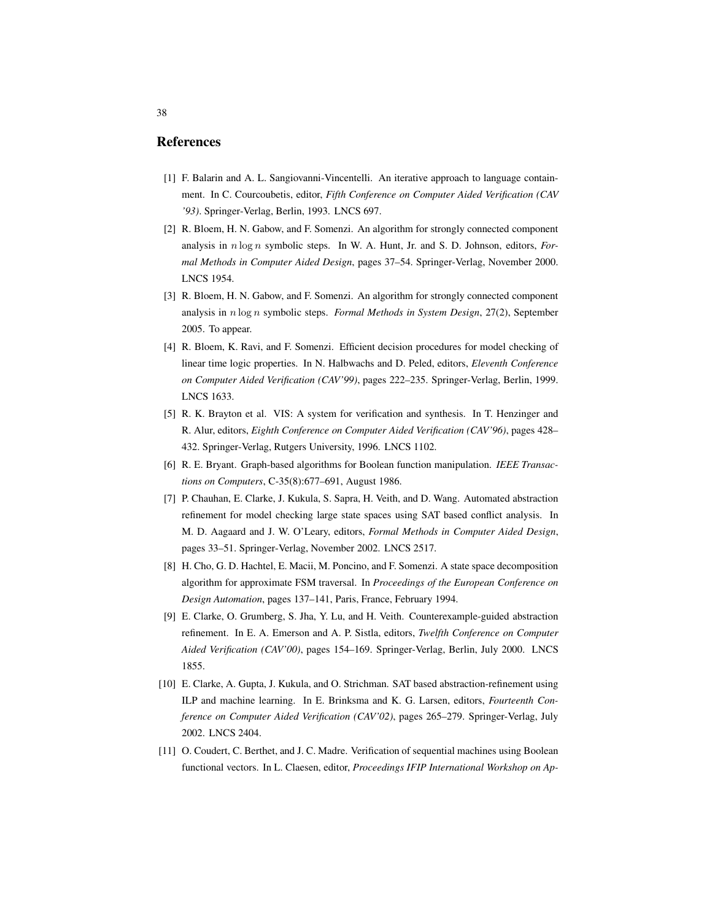# **References**

- [1] F. Balarin and A. L. Sangiovanni-Vincentelli. An iterative approach to language containment. In C. Courcoubetis, editor, *Fifth Conference on Computer Aided Verification (CAV '93)*. Springer-Verlag, Berlin, 1993. LNCS 697.
- [2] R. Bloem, H. N. Gabow, and F. Somenzi. An algorithm for strongly connected component analysis in n log n symbolic steps. In W. A. Hunt, Jr. and S. D. Johnson, editors, *Formal Methods in Computer Aided Design*, pages 37–54. Springer-Verlag, November 2000. LNCS 1954.
- [3] R. Bloem, H. N. Gabow, and F. Somenzi. An algorithm for strongly connected component analysis in n log n symbolic steps. *Formal Methods in System Design*, 27(2), September 2005. To appear.
- [4] R. Bloem, K. Ravi, and F. Somenzi. Efficient decision procedures for model checking of linear time logic properties. In N. Halbwachs and D. Peled, editors, *Eleventh Conference on Computer Aided Verification (CAV'99)*, pages 222–235. Springer-Verlag, Berlin, 1999. LNCS 1633.
- [5] R. K. Brayton et al. VIS: A system for verification and synthesis. In T. Henzinger and R. Alur, editors, *Eighth Conference on Computer Aided Verification (CAV'96)*, pages 428– 432. Springer-Verlag, Rutgers University, 1996. LNCS 1102.
- [6] R. E. Bryant. Graph-based algorithms for Boolean function manipulation. *IEEE Transactions on Computers*, C-35(8):677–691, August 1986.
- [7] P. Chauhan, E. Clarke, J. Kukula, S. Sapra, H. Veith, and D. Wang. Automated abstraction refinement for model checking large state spaces using SAT based conflict analysis. In M. D. Aagaard and J. W. O'Leary, editors, *Formal Methods in Computer Aided Design*, pages 33–51. Springer-Verlag, November 2002. LNCS 2517.
- [8] H. Cho, G. D. Hachtel, E. Macii, M. Poncino, and F. Somenzi. A state space decomposition algorithm for approximate FSM traversal. In *Proceedings of the European Conference on Design Automation*, pages 137–141, Paris, France, February 1994.
- [9] E. Clarke, O. Grumberg, S. Jha, Y. Lu, and H. Veith. Counterexample-guided abstraction refinement. In E. A. Emerson and A. P. Sistla, editors, *Twelfth Conference on Computer Aided Verification (CAV'00)*, pages 154–169. Springer-Verlag, Berlin, July 2000. LNCS 1855.
- [10] E. Clarke, A. Gupta, J. Kukula, and O. Strichman. SAT based abstraction-refinement using ILP and machine learning. In E. Brinksma and K. G. Larsen, editors, *Fourteenth Conference on Computer Aided Verification (CAV'02)*, pages 265–279. Springer-Verlag, July 2002. LNCS 2404.
- [11] O. Coudert, C. Berthet, and J. C. Madre. Verification of sequential machines using Boolean functional vectors. In L. Claesen, editor, *Proceedings IFIP International Workshop on Ap-*

38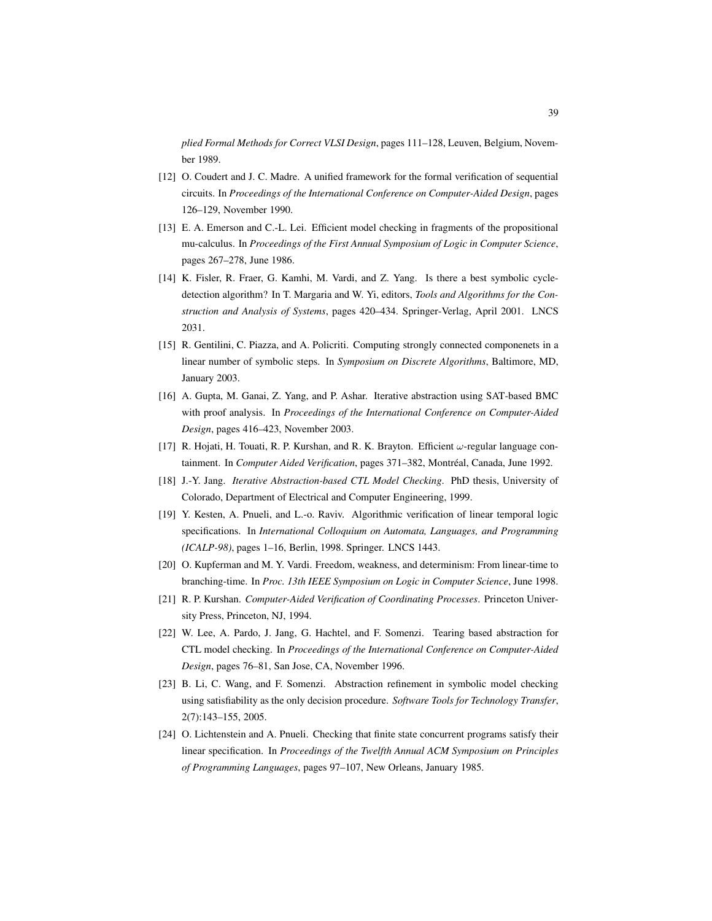*plied Formal Methods for Correct VLSI Design*, pages 111–128, Leuven, Belgium, November 1989.

- [12] O. Coudert and J. C. Madre. A unified framework for the formal verification of sequential circuits. In *Proceedings of the International Conference on Computer-Aided Design*, pages 126–129, November 1990.
- [13] E. A. Emerson and C.-L. Lei. Efficient model checking in fragments of the propositional mu-calculus. In *Proceedings of the First Annual Symposium of Logic in Computer Science*, pages 267–278, June 1986.
- [14] K. Fisler, R. Fraer, G. Kamhi, M. Vardi, and Z. Yang. Is there a best symbolic cycledetection algorithm? In T. Margaria and W. Yi, editors, *Tools and Algorithms for the Construction and Analysis of Systems*, pages 420–434. Springer-Verlag, April 2001. LNCS 2031.
- [15] R. Gentilini, C. Piazza, and A. Policriti. Computing strongly connected componenets in a linear number of symbolic steps. In *Symposium on Discrete Algorithms*, Baltimore, MD, January 2003.
- [16] A. Gupta, M. Ganai, Z. Yang, and P. Ashar. Iterative abstraction using SAT-based BMC with proof analysis. In *Proceedings of the International Conference on Computer-Aided Design*, pages 416–423, November 2003.
- [17] R. Hojati, H. Touati, R. P. Kurshan, and R. K. Brayton. Efficient ω-regular language containment. In *Computer Aided Verification*, pages 371–382, Montréal, Canada, June 1992.
- [18] J.-Y. Jang. *Iterative Abstraction-based CTL Model Checking*. PhD thesis, University of Colorado, Department of Electrical and Computer Engineering, 1999.
- [19] Y. Kesten, A. Pnueli, and L.-o. Raviv. Algorithmic verification of linear temporal logic specifications. In *International Colloquium on Automata, Languages, and Programming (ICALP-98)*, pages 1–16, Berlin, 1998. Springer. LNCS 1443.
- [20] O. Kupferman and M. Y. Vardi. Freedom, weakness, and determinism: From linear-time to branching-time. In *Proc. 13th IEEE Symposium on Logic in Computer Science*, June 1998.
- [21] R. P. Kurshan. *Computer-Aided Verification of Coordinating Processes*. Princeton University Press, Princeton, NJ, 1994.
- [22] W. Lee, A. Pardo, J. Jang, G. Hachtel, and F. Somenzi. Tearing based abstraction for CTL model checking. In *Proceedings of the International Conference on Computer-Aided Design*, pages 76–81, San Jose, CA, November 1996.
- [23] B. Li, C. Wang, and F. Somenzi. Abstraction refinement in symbolic model checking using satisfiability as the only decision procedure. *Software Tools for Technology Transfer*, 2(7):143–155, 2005.
- [24] O. Lichtenstein and A. Pnueli. Checking that finite state concurrent programs satisfy their linear specification. In *Proceedings of the Twelfth Annual ACM Symposium on Principles of Programming Languages*, pages 97–107, New Orleans, January 1985.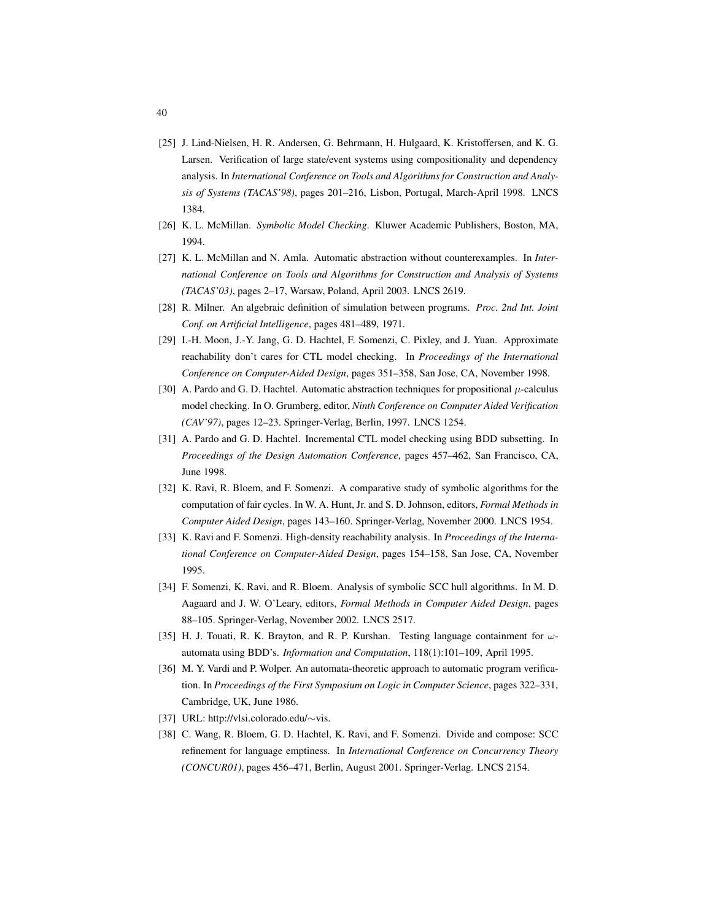- [25] J. Lind-Nielsen, H. R. Andersen, G. Behrmann, H. Hulgaard, K. Kristoffersen, and K. G. Larsen. Verification of large state/event systems using compositionality and dependency analysis. In *International Conference on Tools and Algorithms for Construction and Analysis of Systems (TACAS'98)*, pages 201–216, Lisbon, Portugal, March-April 1998. LNCS 1384.
- [26] K. L. McMillan. *Symbolic Model Checking*. Kluwer Academic Publishers, Boston, MA, 1994.
- [27] K. L. McMillan and N. Amla. Automatic abstraction without counterexamples. In *International Conference on Tools and Algorithms for Construction and Analysis of Systems (TACAS'03)*, pages 2–17, Warsaw, Poland, April 2003. LNCS 2619.
- [28] R. Milner. An algebraic definition of simulation between programs. *Proc. 2nd Int. Joint Conf. on Artificial Intelligence*, pages 481–489, 1971.
- [29] I.-H. Moon, J.-Y. Jang, G. D. Hachtel, F. Somenzi, C. Pixley, and J. Yuan. Approximate reachability don't cares for CTL model checking. In *Proceedings of the International Conference on Computer-Aided Design*, pages 351–358, San Jose, CA, November 1998.
- [30] A. Pardo and G. D. Hachtel. Automatic abstraction techniques for propositional  $\mu$ -calculus model checking. In O. Grumberg, editor, *Ninth Conference on Computer Aided Verification (CAV'97)*, pages 12–23. Springer-Verlag, Berlin, 1997. LNCS 1254.
- [31] A. Pardo and G. D. Hachtel. Incremental CTL model checking using BDD subsetting. In *Proceedings of the Design Automation Conference*, pages 457–462, San Francisco, CA, June 1998.
- [32] K. Ravi, R. Bloem, and F. Somenzi. A comparative study of symbolic algorithms for the computation of fair cycles. In W. A. Hunt, Jr. and S. D. Johnson, editors, *Formal Methods in Computer Aided Design*, pages 143–160. Springer-Verlag, November 2000. LNCS 1954.
- [33] K. Ravi and F. Somenzi. High-density reachability analysis. In *Proceedings of the International Conference on Computer-Aided Design*, pages 154–158, San Jose, CA, November 1995.
- [34] F. Somenzi, K. Ravi, and R. Bloem. Analysis of symbolic SCC hull algorithms. In M. D. Aagaard and J. W. O'Leary, editors, *Formal Methods in Computer Aided Design*, pages 88–105. Springer-Verlag, November 2002. LNCS 2517.
- [35] H. J. Touati, R. K. Brayton, and R. P. Kurshan. Testing language containment for  $\omega$ automata using BDD's. *Information and Computation*, 118(1):101–109, April 1995.
- [36] M. Y. Vardi and P. Wolper. An automata-theoretic approach to automatic program verification. In *Proceedings of the First Symposium on Logic in Computer Science*, pages 322–331, Cambridge, UK, June 1986.
- [37] URL: http://vlsi.colorado.edu/∼vis.
- [38] C. Wang, R. Bloem, G. D. Hachtel, K. Ravi, and F. Somenzi. Divide and compose: SCC refinement for language emptiness. In *International Conference on Concurrency Theory (CONCUR01)*, pages 456–471, Berlin, August 2001. Springer-Verlag. LNCS 2154.